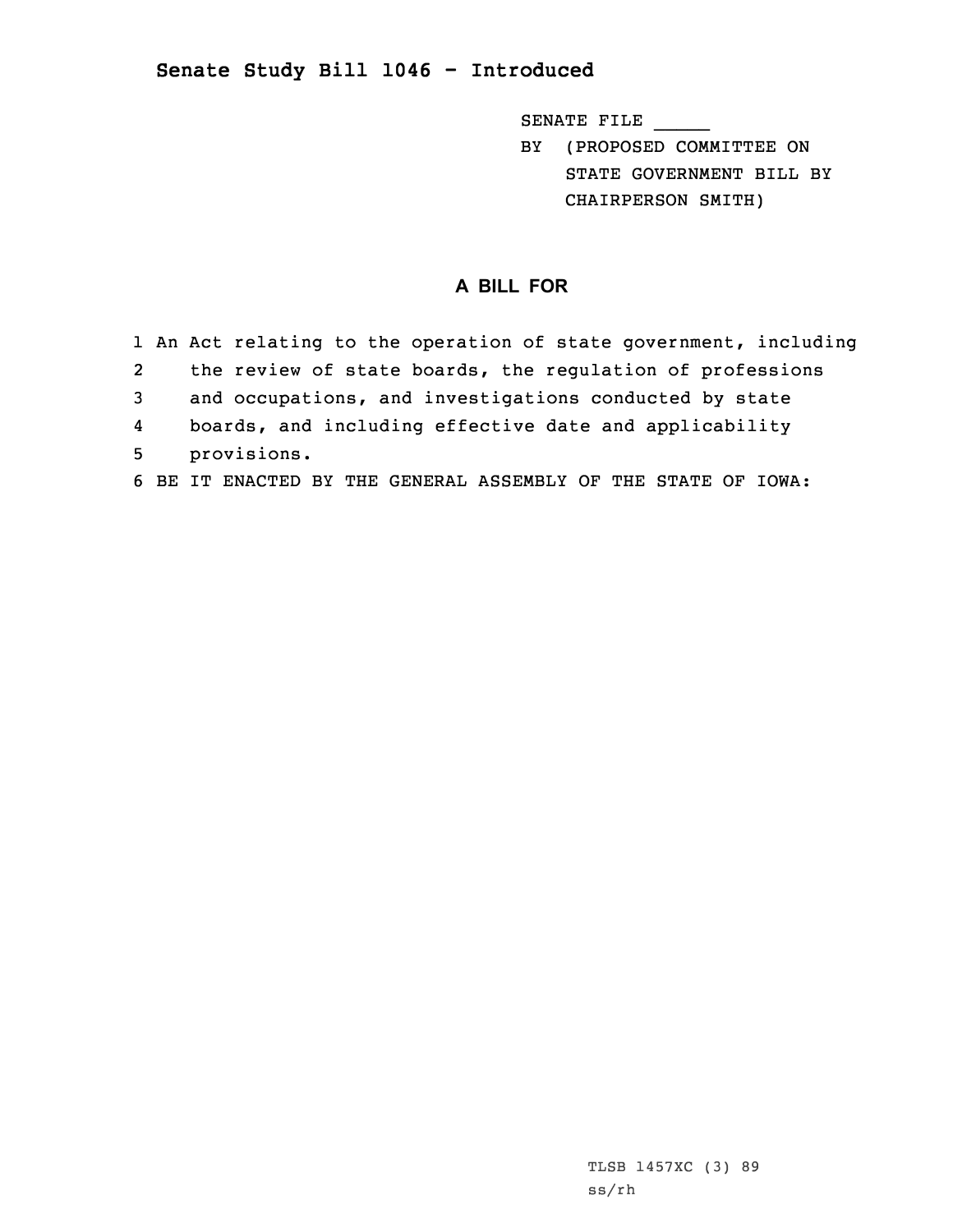## **Senate Study Bill 1046 - Introduced**

SENATE FILE \_\_\_\_\_

BY (PROPOSED COMMITTEE ON STATE GOVERNMENT BILL BY CHAIRPERSON SMITH)

## **A BILL FOR**

|   | 1 An Act relating to the operation of state government, including |
|---|-------------------------------------------------------------------|
| 2 | the review of state boards, the regulation of professions         |
| 3 | and occupations, and investigations conducted by state            |
| 4 | boards, and including effective date and applicability            |
| 5 | provisions.                                                       |
|   | 6 BE IT ENACTED BY THE GENERAL ASSEMBLY OF THE STATE OF IOWA:     |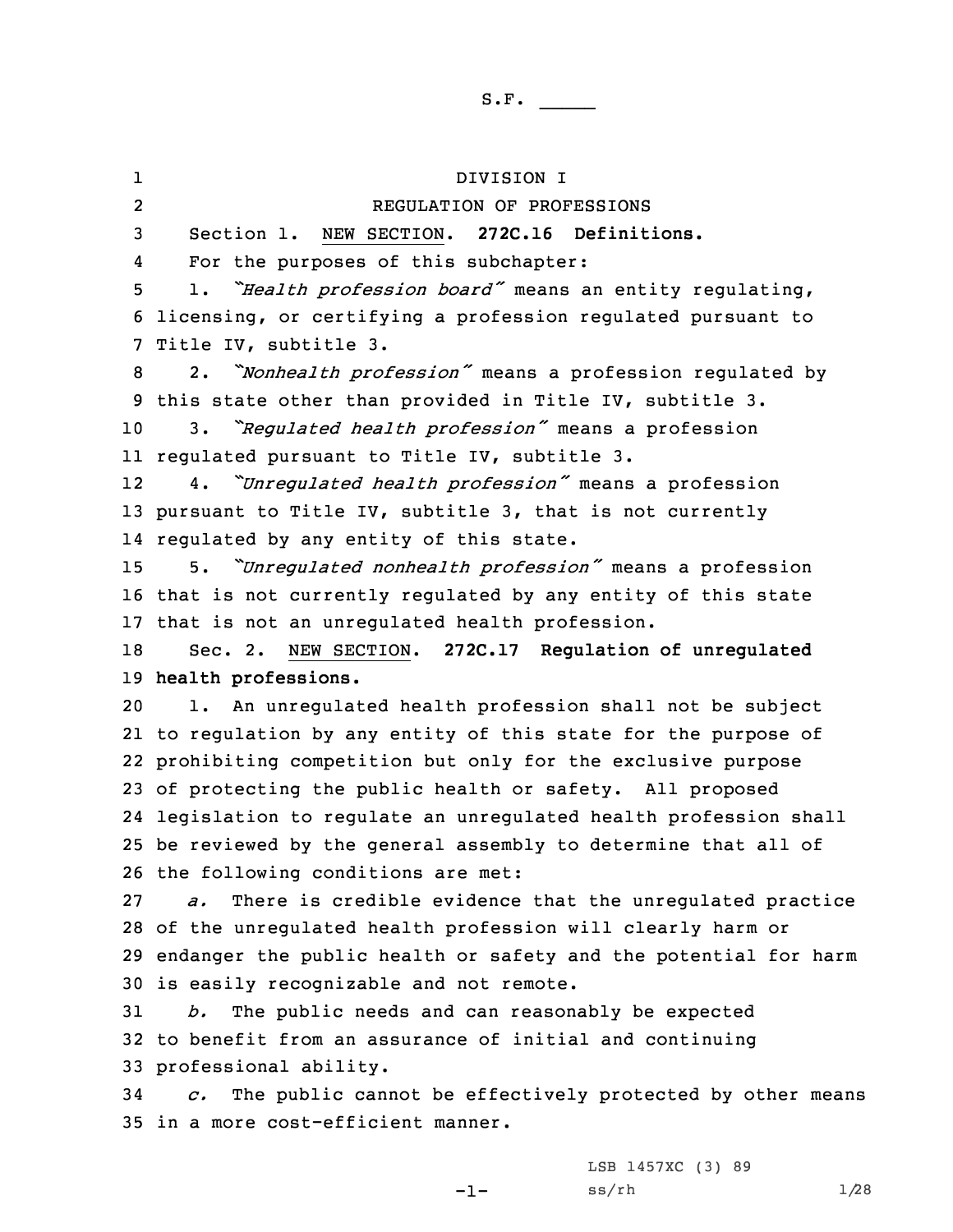1 DIVISION I 2 REGULATION OF PROFESSIONS Section 1. NEW SECTION. **272C.16 Definitions.** 4 For the purposes of this subchapter: 1. *"Health profession board"* means an entity regulating, licensing, or certifying <sup>a</sup> profession regulated pursuant to Title IV, subtitle 3. 2. *"Nonhealth profession"* means <sup>a</sup> profession regulated by this state other than provided in Title IV, subtitle 3. 3. *"Regulated health profession"* means <sup>a</sup> profession regulated pursuant to Title IV, subtitle 3. 12 4. *"Unregulated health profession"* means <sup>a</sup> profession pursuant to Title IV, subtitle 3, that is not currently regulated by any entity of this state. 5. *"Unregulated nonhealth profession"* means <sup>a</sup> profession that is not currently regulated by any entity of this state that is not an unregulated health profession. Sec. 2. NEW SECTION. **272C.17 Regulation of unregulated health professions.** 1. An unregulated health profession shall not be subject to regulation by any entity of this state for the purpose of prohibiting competition but only for the exclusive purpose of protecting the public health or safety. All proposed legislation to regulate an unregulated health profession shall be reviewed by the general assembly to determine that all of the following conditions are met: *a.* There is credible evidence that the unregulated practice of the unregulated health profession will clearly harm or endanger the public health or safety and the potential for harm is easily recognizable and not remote. *b.* The public needs and can reasonably be expected to benefit from an assurance of initial and continuing professional ability. *c.* The public cannot be effectively protected by other means in <sup>a</sup> more cost-efficient manner.

 $-1-$ 

LSB 1457XC (3) 89  $ss/rh$  1/28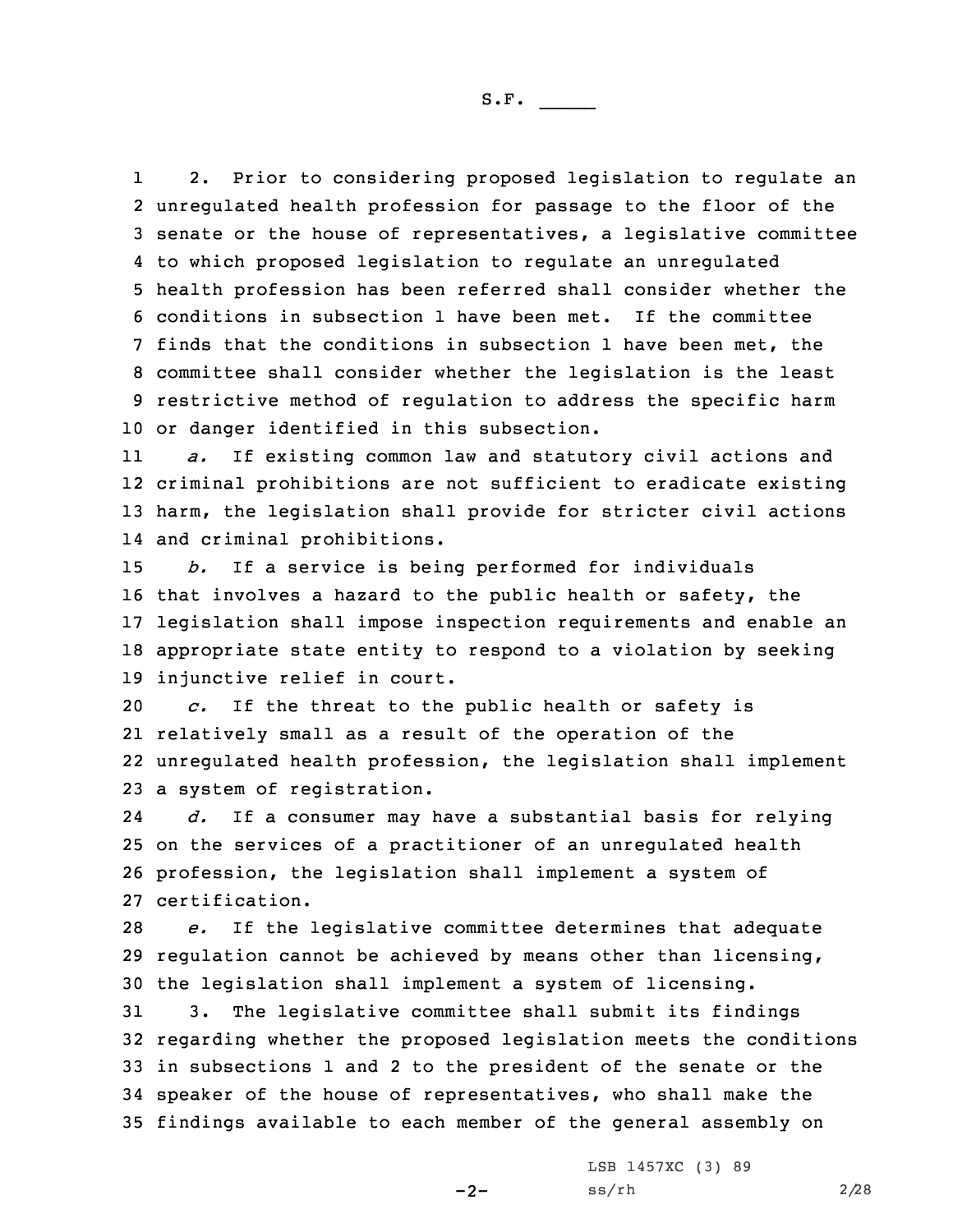1 2. Prior to considering proposed legislation to regulate an unregulated health profession for passage to the floor of the senate or the house of representatives, <sup>a</sup> legislative committee to which proposed legislation to regulate an unregulated health profession has been referred shall consider whether the conditions in subsection 1 have been met. If the committee finds that the conditions in subsection 1 have been met, the committee shall consider whether the legislation is the least restrictive method of regulation to address the specific harm or danger identified in this subsection.

11 *a.* If existing common law and statutory civil actions and 12 criminal prohibitions are not sufficient to eradicate existing 13 harm, the legislation shall provide for stricter civil actions 14 and criminal prohibitions.

 *b.* If <sup>a</sup> service is being performed for individuals that involves <sup>a</sup> hazard to the public health or safety, the legislation shall impose inspection requirements and enable an appropriate state entity to respond to <sup>a</sup> violation by seeking injunctive relief in court.

 *c.* If the threat to the public health or safety is relatively small as <sup>a</sup> result of the operation of the unregulated health profession, the legislation shall implement <sup>a</sup> system of registration.

24 *d.* If <sup>a</sup> consumer may have <sup>a</sup> substantial basis for relying 25 on the services of <sup>a</sup> practitioner of an unregulated health 26 profession, the legislation shall implement <sup>a</sup> system of 27 certification.

28 *e.* If the legislative committee determines that adequate 29 regulation cannot be achieved by means other than licensing, 30 the legislation shall implement <sup>a</sup> system of licensing.

 3. The legislative committee shall submit its findings regarding whether the proposed legislation meets the conditions in subsections 1 and 2 to the president of the senate or the speaker of the house of representatives, who shall make the findings available to each member of the general assembly on

 $-2-$ 

LSB 1457XC (3) 89  $ss/rh$  2/28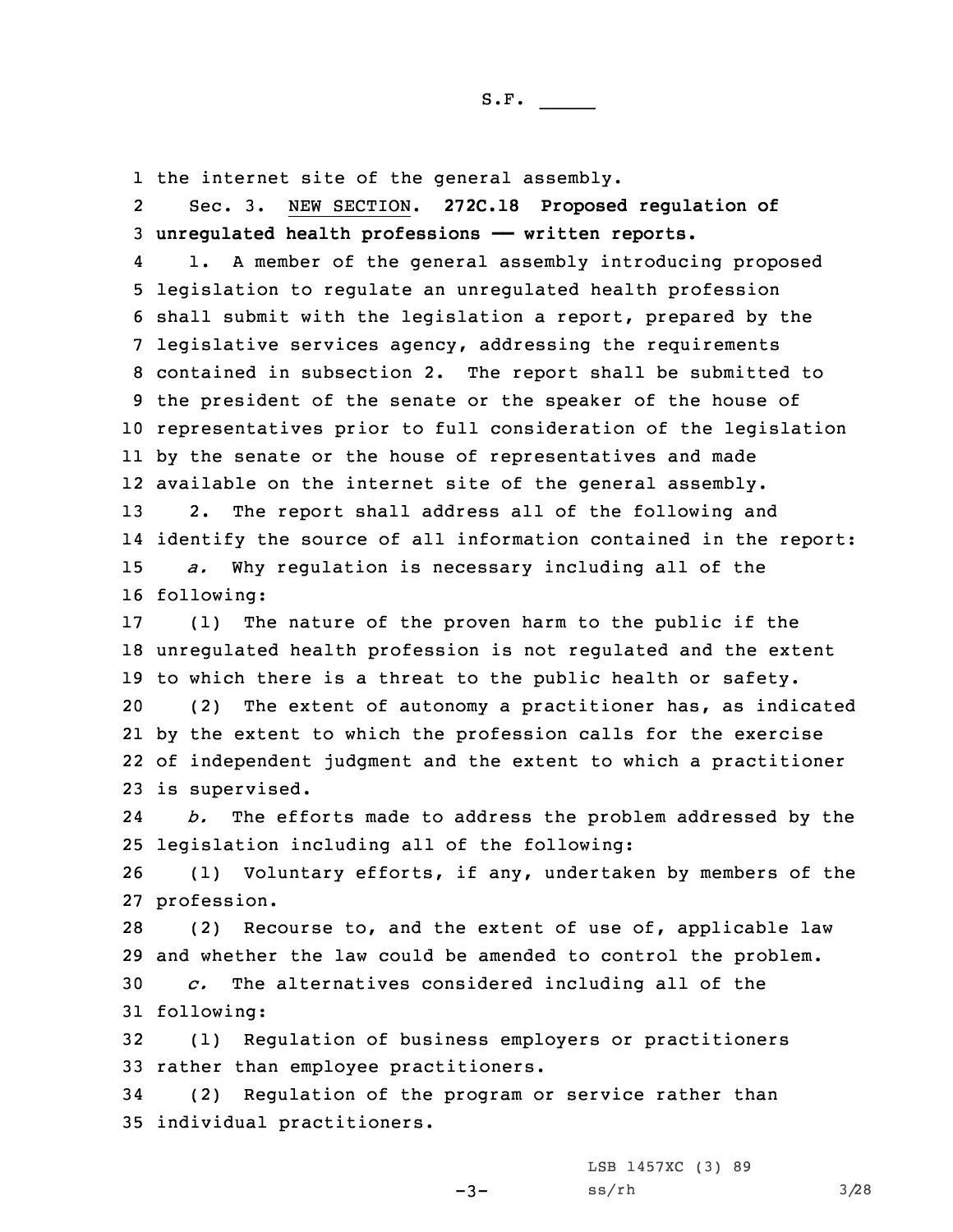1 the internet site of the general assembly.

2 Sec. 3. NEW SECTION. **272C.18 Proposed regulation of** 3 **unregulated health professions —— written reports.**

4 1. <sup>A</sup> member of the general assembly introducing proposed legislation to regulate an unregulated health profession shall submit with the legislation <sup>a</sup> report, prepared by the legislative services agency, addressing the requirements contained in subsection 2. The report shall be submitted to the president of the senate or the speaker of the house of representatives prior to full consideration of the legislation by the senate or the house of representatives and made available on the internet site of the general assembly. 2. The report shall address all of the following and identify the source of all information contained in the report: *a.* Why regulation is necessary including all of the following:

 (1) The nature of the proven harm to the public if the unregulated health profession is not regulated and the extent to which there is <sup>a</sup> threat to the public health or safety. (2) The extent of autonomy <sup>a</sup> practitioner has, as indicated by the extent to which the profession calls for the exercise of independent judgment and the extent to which <sup>a</sup> practitioner is supervised.

24 *b.* The efforts made to address the problem addressed by the 25 legislation including all of the following:

26 (1) Voluntary efforts, if any, undertaken by members of the 27 profession.

 (2) Recourse to, and the extent of use of, applicable law and whether the law could be amended to control the problem. *c.* The alternatives considered including all of the following:

32 (1) Regulation of business employers or practitioners 33 rather than employee practitioners.

34 (2) Regulation of the program or service rather than 35 individual practitioners.

-3-

LSB 1457XC (3) 89  $ss/rh$   $3/28$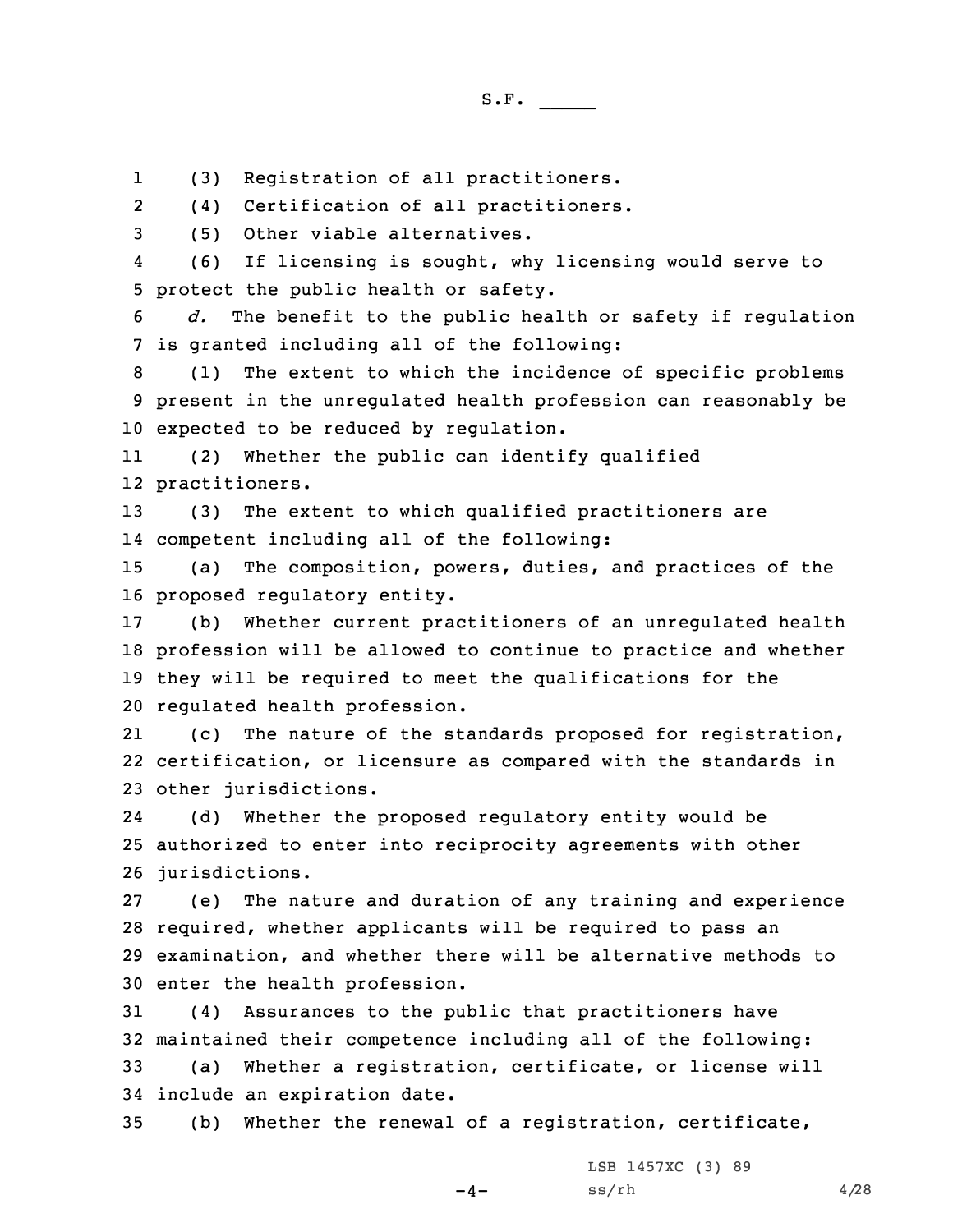1(3) Registration of all practitioners.

2(4) Certification of all practitioners.

3 (5) Other viable alternatives.

4 (6) If licensing is sought, why licensing would serve to 5 protect the public health or safety.

6 *d.* The benefit to the public health or safety if regulation 7 is granted including all of the following:

8 (1) The extent to which the incidence of specific problems 9 present in the unregulated health profession can reasonably be 10 expected to be reduced by regulation.

11 (2) Whether the public can identify qualified 12 practitioners.

13 (3) The extent to which qualified practitioners are 14 competent including all of the following:

15 (a) The composition, powers, duties, and practices of the 16 proposed regulatory entity.

 (b) Whether current practitioners of an unregulated health profession will be allowed to continue to practice and whether they will be required to meet the qualifications for the regulated health profession.

21 (c) The nature of the standards proposed for registration, 22 certification, or licensure as compared with the standards in 23 other jurisdictions.

24 (d) Whether the proposed regulatory entity would be 25 authorized to enter into reciprocity agreements with other 26 jurisdictions.

 (e) The nature and duration of any training and experience required, whether applicants will be required to pass an examination, and whether there will be alternative methods to enter the health profession.

 (4) Assurances to the public that practitioners have maintained their competence including all of the following: (a) Whether <sup>a</sup> registration, certificate, or license will include an expiration date.

35 (b) Whether the renewal of <sup>a</sup> registration, certificate,

 $-4-$ 

LSB 1457XC (3) 89  $ss/rh$  4/28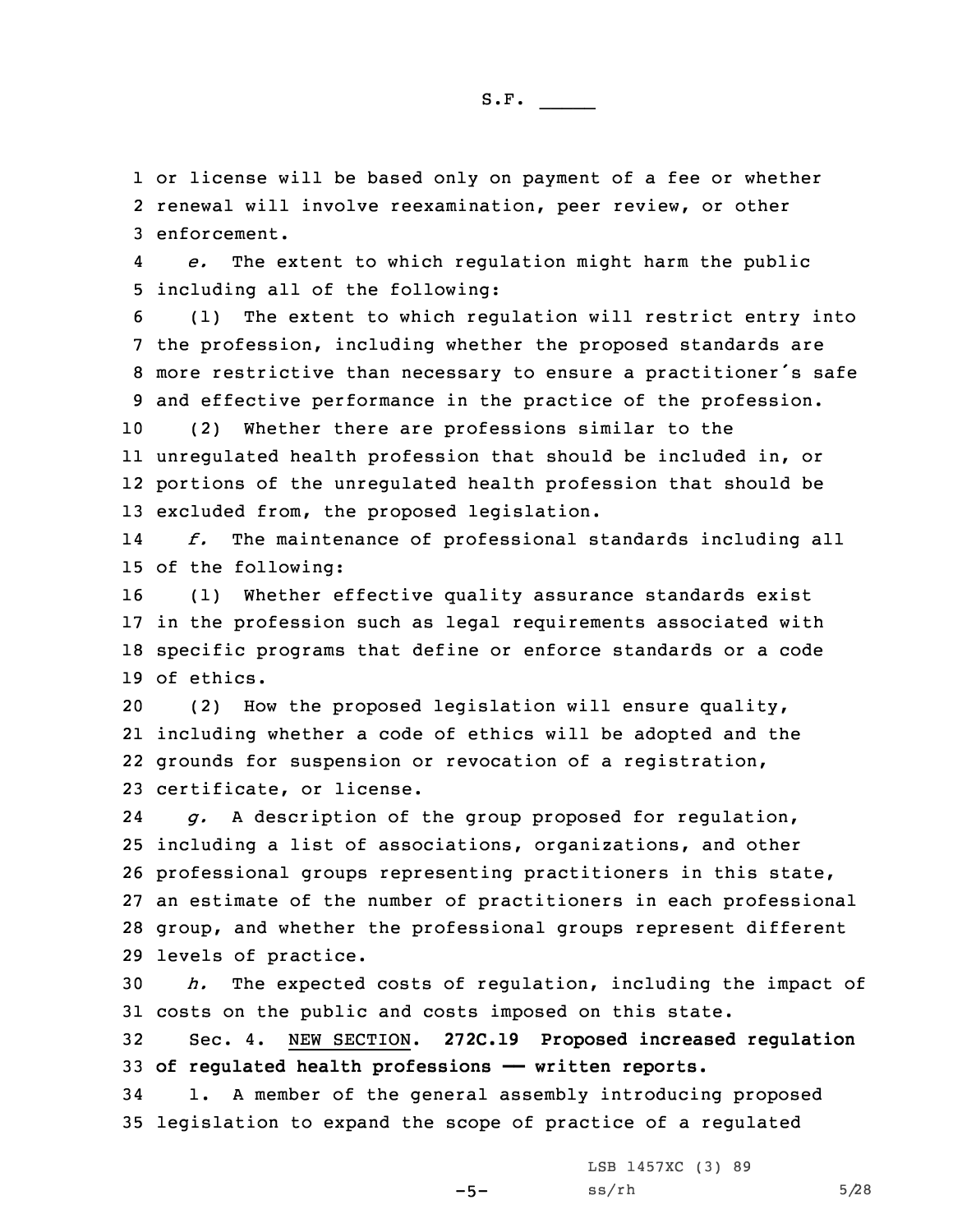1 or license will be based only on payment of <sup>a</sup> fee or whether 2 renewal will involve reexamination, peer review, or other 3 enforcement.

4 *e.* The extent to which regulation might harm the public 5 including all of the following:

 (1) The extent to which regulation will restrict entry into the profession, including whether the proposed standards are more restrictive than necessary to ensure <sup>a</sup> practitioner's safe and effective performance in the practice of the profession.

 (2) Whether there are professions similar to the unregulated health profession that should be included in, or portions of the unregulated health profession that should be excluded from, the proposed legislation.

14 *f.* The maintenance of professional standards including all 15 of the following:

 (1) Whether effective quality assurance standards exist in the profession such as legal requirements associated with specific programs that define or enforce standards or <sup>a</sup> code of ethics.

 (2) How the proposed legislation will ensure quality, including whether <sup>a</sup> code of ethics will be adopted and the grounds for suspension or revocation of <sup>a</sup> registration, certificate, or license.

24 *g.* <sup>A</sup> description of the group proposed for regulation, including <sup>a</sup> list of associations, organizations, and other professional groups representing practitioners in this state, an estimate of the number of practitioners in each professional group, and whether the professional groups represent different levels of practice.

30 *h.* The expected costs of regulation, including the impact of 31 costs on the public and costs imposed on this state.

32 Sec. 4. NEW SECTION. **272C.19 Proposed increased regulation** 33 **of regulated health professions —— written reports.**

34 1. <sup>A</sup> member of the general assembly introducing proposed 35 legislation to expand the scope of practice of <sup>a</sup> regulated

LSB 1457XC (3) 89

 $-5-$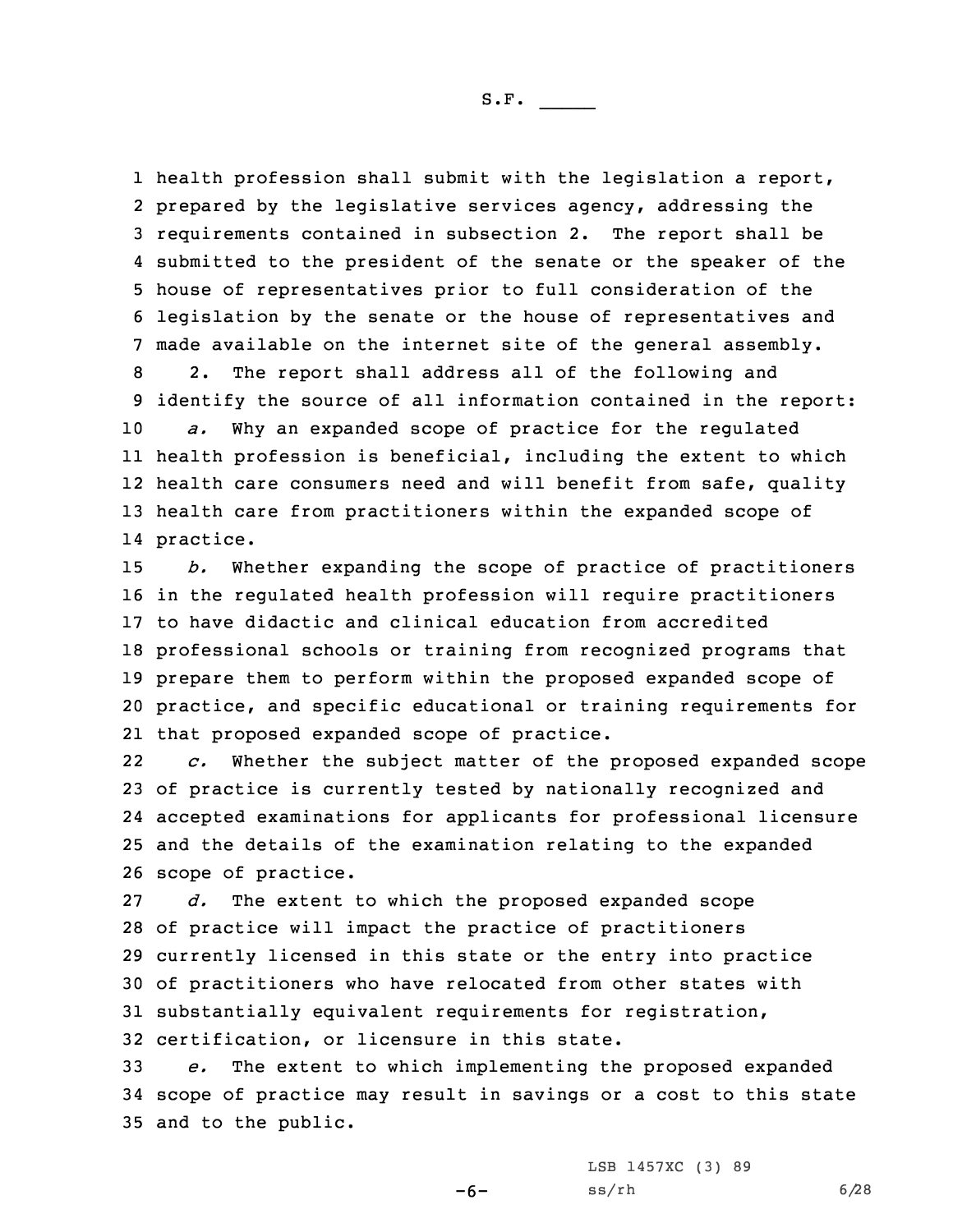1 health profession shall submit with the legislation a report, prepared by the legislative services agency, addressing the requirements contained in subsection 2. The report shall be submitted to the president of the senate or the speaker of the house of representatives prior to full consideration of the legislation by the senate or the house of representatives and made available on the internet site of the general assembly.

 2. The report shall address all of the following and identify the source of all information contained in the report: *a.* Why an expanded scope of practice for the regulated health profession is beneficial, including the extent to which 12 health care consumers need and will benefit from safe, quality health care from practitioners within the expanded scope of practice.

 *b.* Whether expanding the scope of practice of practitioners in the regulated health profession will require practitioners to have didactic and clinical education from accredited professional schools or training from recognized programs that prepare them to perform within the proposed expanded scope of practice, and specific educational or training requirements for that proposed expanded scope of practice.

22 *c.* Whether the subject matter of the proposed expanded scope of practice is currently tested by nationally recognized and accepted examinations for applicants for professional licensure and the details of the examination relating to the expanded scope of practice.

 *d.* The extent to which the proposed expanded scope of practice will impact the practice of practitioners currently licensed in this state or the entry into practice of practitioners who have relocated from other states with substantially equivalent requirements for registration, certification, or licensure in this state.

33 *e.* The extent to which implementing the proposed expanded 34 scope of practice may result in savings or <sup>a</sup> cost to this state 35 and to the public.

 $-6-$ 

LSB 1457XC (3) 89  $ss/rh$  6/28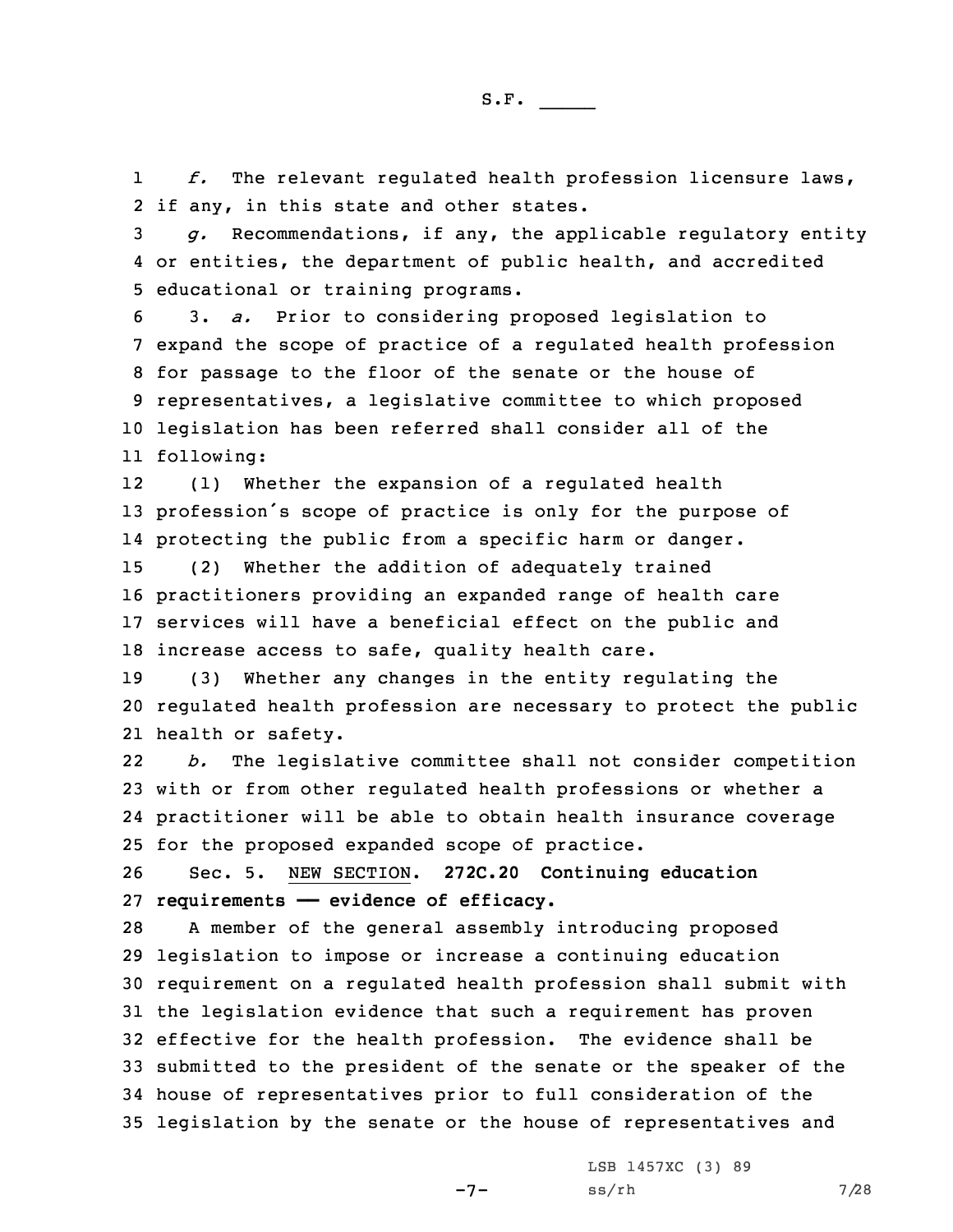1 *f.* The relevant regulated health profession licensure laws, 2 if any, in this state and other states.

3 *g.* Recommendations, if any, the applicable regulatory entity 4 or entities, the department of public health, and accredited 5 educational or training programs.

 3. *a.* Prior to considering proposed legislation to expand the scope of practice of <sup>a</sup> regulated health profession for passage to the floor of the senate or the house of representatives, <sup>a</sup> legislative committee to which proposed legislation has been referred shall consider all of the following:

12 (1) Whether the expansion of <sup>a</sup> regulated health <sup>13</sup> profession's scope of practice is only for the purpose of 14 protecting the public from <sup>a</sup> specific harm or danger.

 (2) Whether the addition of adequately trained practitioners providing an expanded range of health care services will have <sup>a</sup> beneficial effect on the public and increase access to safe, quality health care.

19 (3) Whether any changes in the entity regulating the 20 regulated health profession are necessary to protect the public 21 health or safety.

22 *b.* The legislative committee shall not consider competition 23 with or from other regulated health professions or whether <sup>a</sup> 24 practitioner will be able to obtain health insurance coverage 25 for the proposed expanded scope of practice.

26 Sec. 5. NEW SECTION. **272C.20 Continuing education** 27 **requirements —— evidence of efficacy.**

 <sup>A</sup> member of the general assembly introducing proposed legislation to impose or increase <sup>a</sup> continuing education requirement on <sup>a</sup> regulated health profession shall submit with the legislation evidence that such <sup>a</sup> requirement has proven effective for the health profession. The evidence shall be submitted to the president of the senate or the speaker of the house of representatives prior to full consideration of the legislation by the senate or the house of representatives and

-7-

LSB 1457XC (3) 89  $ss/rh$  7/28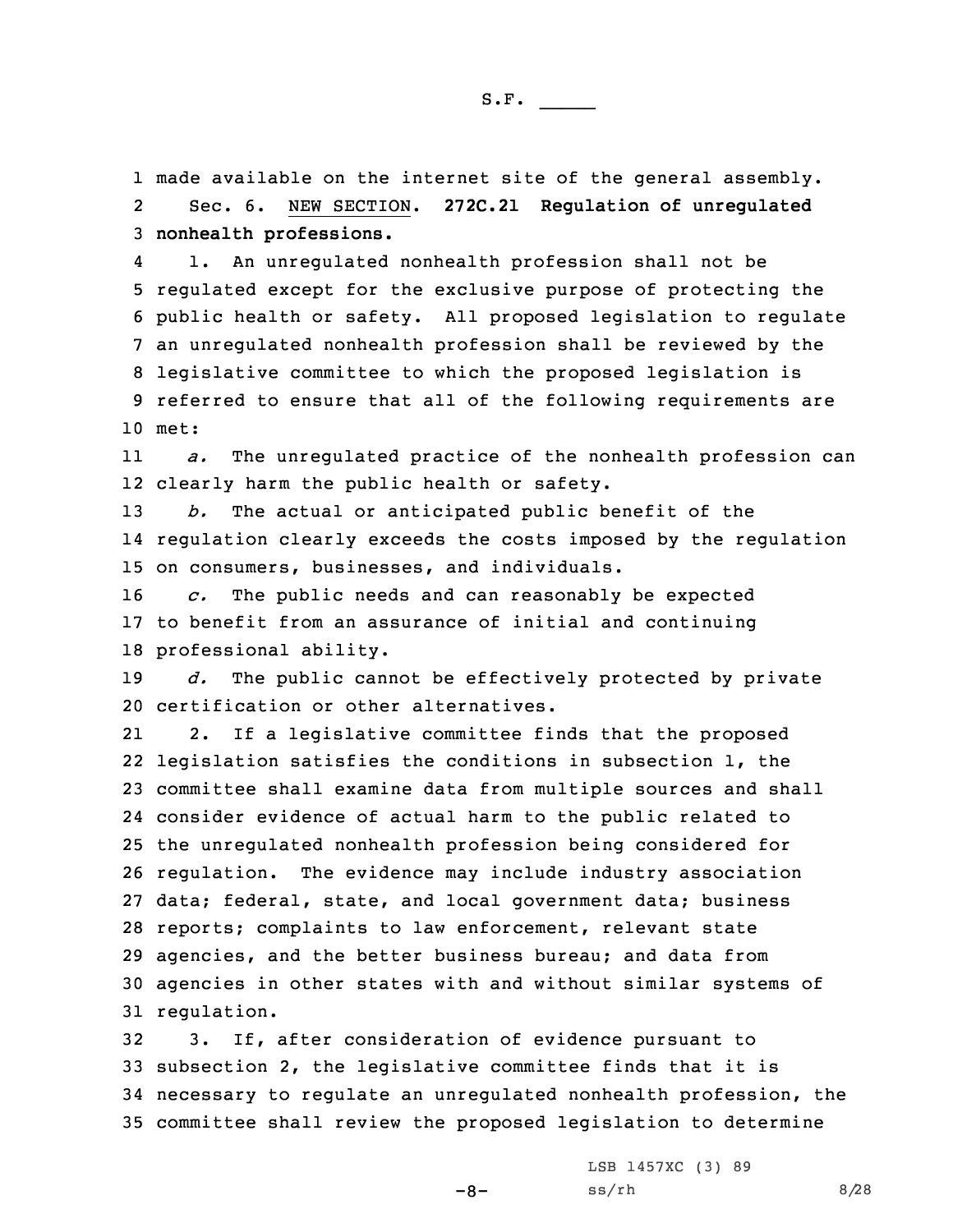1 made available on the internet site of the general assembly. 2Sec. 6. NEW SECTION. **272C.21 Regulation of unregulated**

3 **nonhealth professions.**

4 1. An unregulated nonhealth profession shall not be regulated except for the exclusive purpose of protecting the public health or safety. All proposed legislation to regulate an unregulated nonhealth profession shall be reviewed by the legislative committee to which the proposed legislation is referred to ensure that all of the following requirements are 10 met:

11 *a.* The unregulated practice of the nonhealth profession can 12 clearly harm the public health or safety.

13 *b.* The actual or anticipated public benefit of the 14 regulation clearly exceeds the costs imposed by the regulation 15 on consumers, businesses, and individuals.

16 *c.* The public needs and can reasonably be expected 17 to benefit from an assurance of initial and continuing 18 professional ability.

19 *d.* The public cannot be effectively protected by private 20 certification or other alternatives.

21 2. If <sup>a</sup> legislative committee finds that the proposed legislation satisfies the conditions in subsection 1, the committee shall examine data from multiple sources and shall consider evidence of actual harm to the public related to the unregulated nonhealth profession being considered for regulation. The evidence may include industry association data; federal, state, and local government data; business reports; complaints to law enforcement, relevant state agencies, and the better business bureau; and data from agencies in other states with and without similar systems of regulation.

 3. If, after consideration of evidence pursuant to subsection 2, the legislative committee finds that it is necessary to regulate an unregulated nonhealth profession, the committee shall review the proposed legislation to determine

-8-

LSB 1457XC (3) 89  $ss/rh$  8/28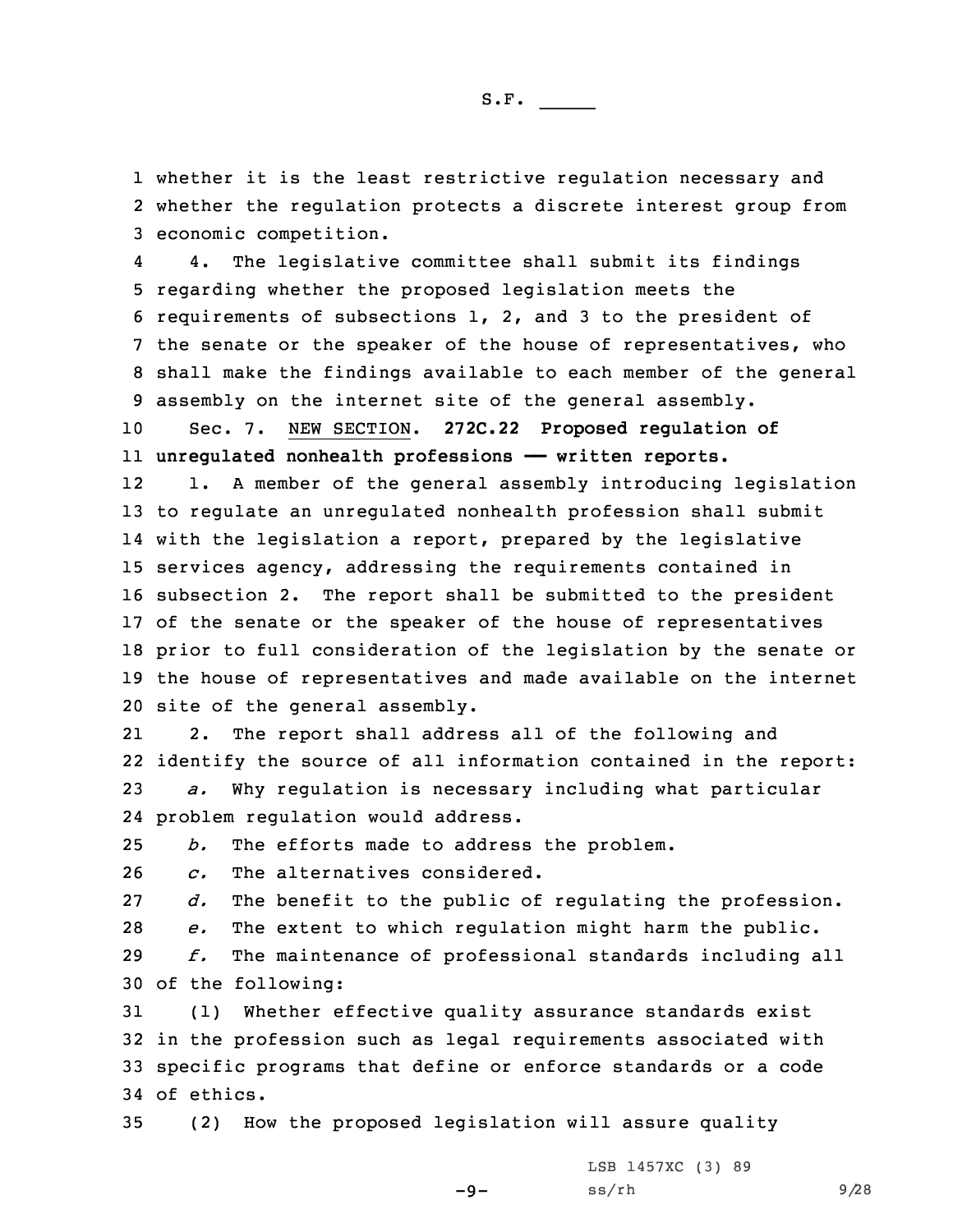1 whether it is the least restrictive regulation necessary and 2 whether the regulation protects <sup>a</sup> discrete interest group from 3 economic competition.

4 4. The legislative committee shall submit its findings regarding whether the proposed legislation meets the requirements of subsections 1, 2, and 3 to the president of the senate or the speaker of the house of representatives, who shall make the findings available to each member of the general assembly on the internet site of the general assembly.

10 Sec. 7. NEW SECTION. **272C.22 Proposed regulation of** 11 **unregulated nonhealth professions —— written reports.**

12 1. <sup>A</sup> member of the general assembly introducing legislation to regulate an unregulated nonhealth profession shall submit with the legislation <sup>a</sup> report, prepared by the legislative services agency, addressing the requirements contained in subsection 2. The report shall be submitted to the president of the senate or the speaker of the house of representatives prior to full consideration of the legislation by the senate or the house of representatives and made available on the internet site of the general assembly.

21 2. The report shall address all of the following and 22 identify the source of all information contained in the report: 23 *a.* Why regulation is necessary including what particular 24 problem regulation would address.

25 *b.* The efforts made to address the problem.

26 *c.* The alternatives considered.

27 *d.* The benefit to the public of regulating the profession.

28 *e.* The extent to which regulation might harm the public.

29 *f.* The maintenance of professional standards including all 30 of the following:

 (1) Whether effective quality assurance standards exist in the profession such as legal requirements associated with specific programs that define or enforce standards or <sup>a</sup> code of ethics.

 $-9-$ 

35 (2) How the proposed legislation will assure quality

LSB 1457XC (3) 89 ss/rh 9/28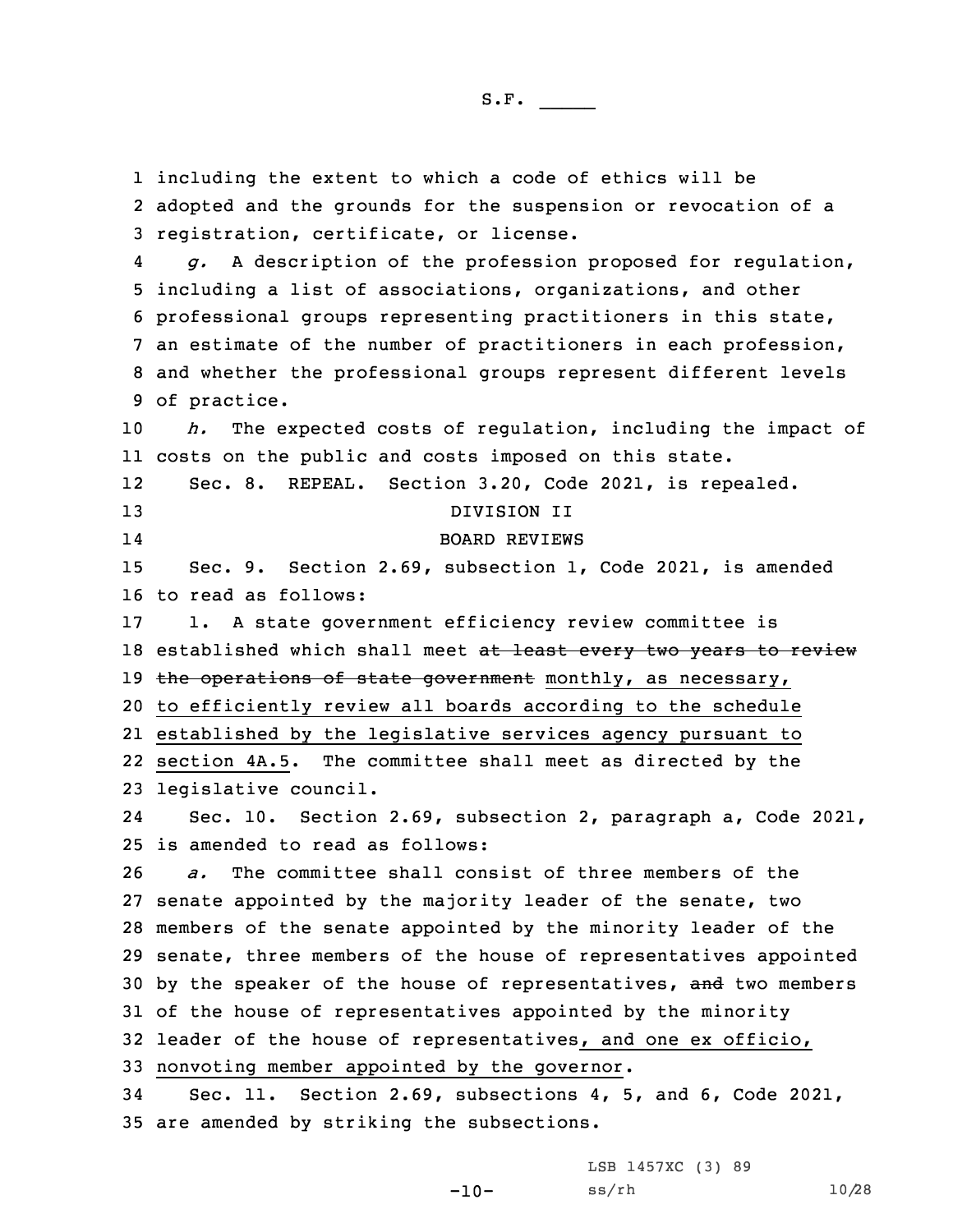including the extent to which <sup>a</sup> code of ethics will be adopted and the grounds for the suspension or revocation of <sup>a</sup> registration, certificate, or license. 4 *g.* <sup>A</sup> description of the profession proposed for regulation, including <sup>a</sup> list of associations, organizations, and other professional groups representing practitioners in this state, an estimate of the number of practitioners in each profession, and whether the professional groups represent different levels of practice. *h.* The expected costs of regulation, including the impact of costs on the public and costs imposed on this state. 12 Sec. 8. REPEAL. Section 3.20, Code 2021, is repealed. DIVISION II 14 BOARD REVIEWS Sec. 9. Section 2.69, subsection 1, Code 2021, is amended to read as follows: 1. <sup>A</sup> state government efficiency review committee is 18 established which shall meet at least every two years to review 19 the operations of state government monthly, as necessary, to efficiently review all boards according to the schedule established by the legislative services agency pursuant to section 4A.5. The committee shall meet as directed by the legislative council. 24 Sec. 10. Section 2.69, subsection 2, paragraph a, Code 2021, is amended to read as follows: *a.* The committee shall consist of three members of the senate appointed by the majority leader of the senate, two members of the senate appointed by the minority leader of the senate, three members of the house of representatives appointed 30 by the speaker of the house of representatives, and two members of the house of representatives appointed by the minority leader of the house of representatives, and one ex officio, nonvoting member appointed by the governor. Sec. 11. Section 2.69, subsections 4, 5, and 6, Code 2021, are amended by striking the subsections.

LSB 1457XC (3) 89

```
ss/rh 10/28
```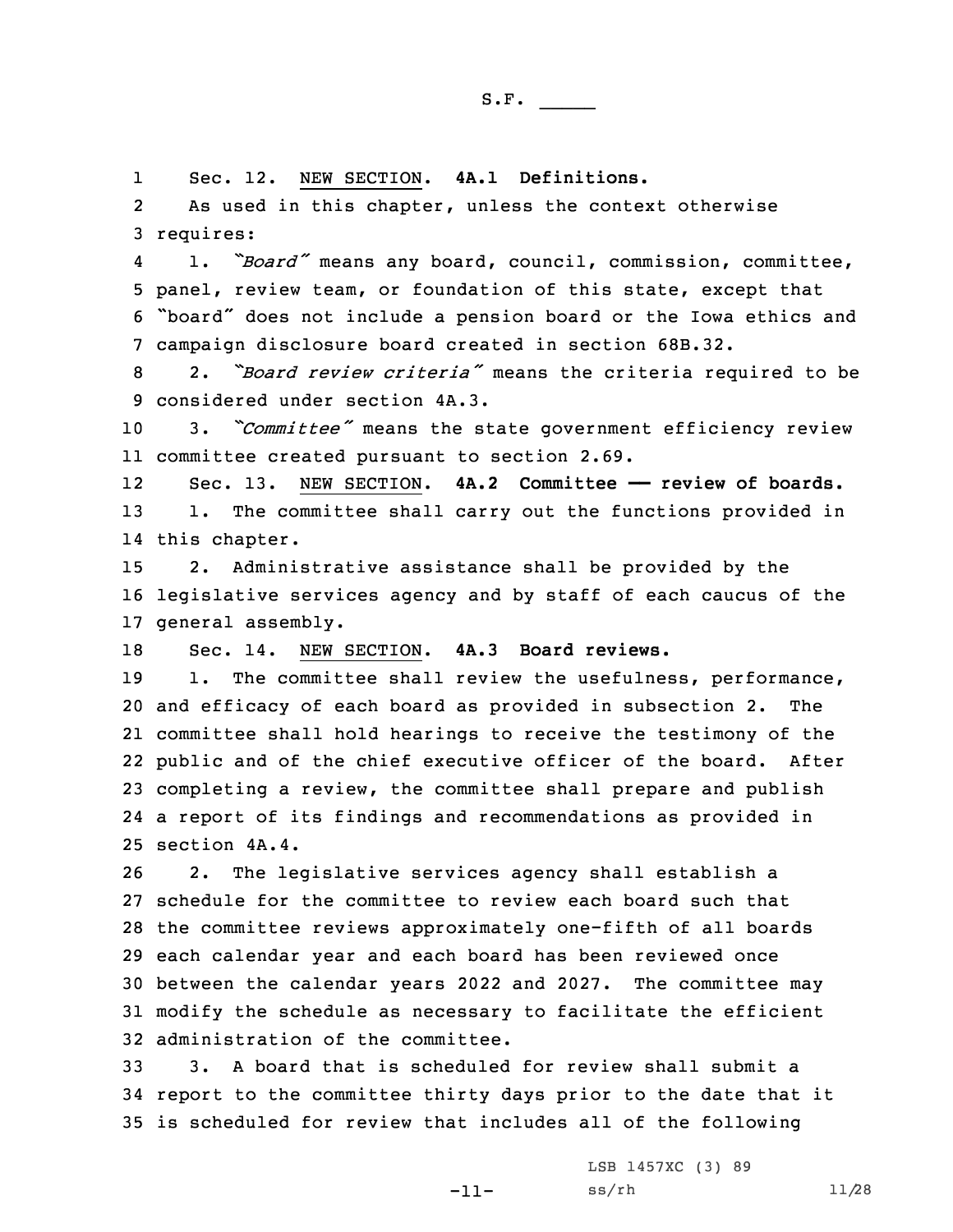1Sec. 12. NEW SECTION. **4A.1 Definitions.**

2 As used in this chapter, unless the context otherwise 3 requires:

4 1. *"Board"* means any board, council, commission, committee, 5 panel, review team, or foundation of this state, except that <sup>6</sup> "board" does not include <sup>a</sup> pension board or the Iowa ethics and 7 campaign disclosure board created in section 68B.32.

<sup>8</sup> 2. *"Board review criteria"* means the criteria required to be 9 considered under section 4A.3.

<sup>10</sup> 3. *"Committee"* means the state government efficiency review 11 committee created pursuant to section 2.69.

12 Sec. 13. NEW SECTION. **4A.2 Committee —— review of boards.** 13 1. The committee shall carry out the functions provided in 14 this chapter.

15 2. Administrative assistance shall be provided by the 16 legislative services agency and by staff of each caucus of the 17 general assembly.

18 Sec. 14. NEW SECTION. **4A.3 Board reviews.**

19 1. The committee shall review the usefulness, performance, and efficacy of each board as provided in subsection 2. The committee shall hold hearings to receive the testimony of the public and of the chief executive officer of the board. After completing <sup>a</sup> review, the committee shall prepare and publish <sup>a</sup> report of its findings and recommendations as provided in section 4A.4.

 2. The legislative services agency shall establish <sup>a</sup> schedule for the committee to review each board such that the committee reviews approximately one-fifth of all boards each calendar year and each board has been reviewed once between the calendar years 2022 and 2027. The committee may modify the schedule as necessary to facilitate the efficient administration of the committee.

33 3. A board that is scheduled for review shall submit <sup>a</sup> 34 report to the committee thirty days prior to the date that it 35 is scheduled for review that includes all of the following

-11-

LSB 1457XC (3) 89 ss/rh 11/28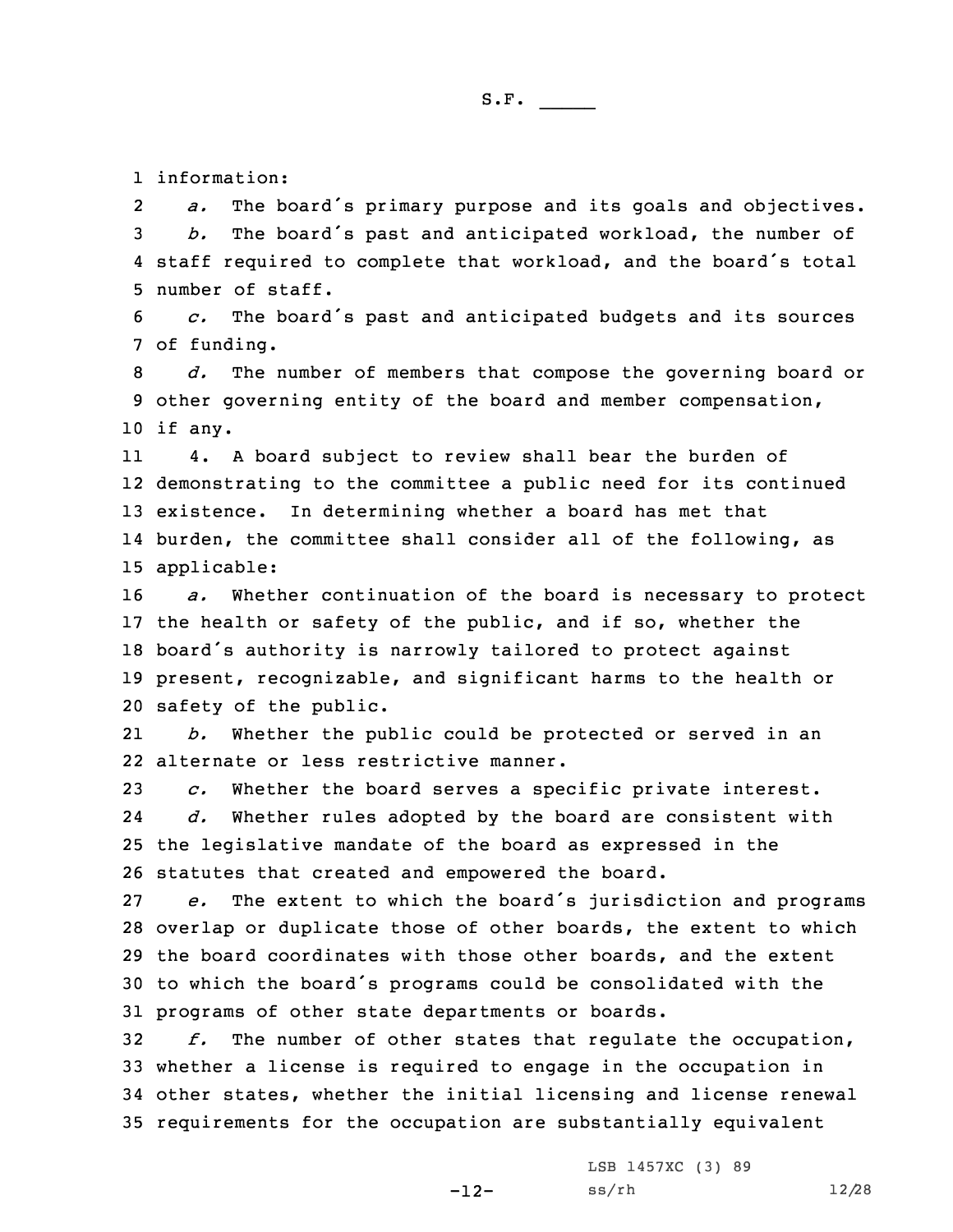1 information:

2 *a.* The board's primary purpose and its goals and objectives. <sup>3</sup> *b.* The board's past and anticipated workload, the number of 4 staff required to complete that workload, and the board's total 5 number of staff.

<sup>6</sup> *c.* The board's past and anticipated budgets and its sources 7 of funding.

8 *d.* The number of members that compose the governing board or 9 other governing entity of the board and member compensation, 10 if any.

11 4. <sup>A</sup> board subject to review shall bear the burden of demonstrating to the committee <sup>a</sup> public need for its continued existence. In determining whether <sup>a</sup> board has met that burden, the committee shall consider all of the following, as applicable:

 *a.* Whether continuation of the board is necessary to protect the health or safety of the public, and if so, whether the board's authority is narrowly tailored to protect against present, recognizable, and significant harms to the health or safety of the public.

21 *b.* Whether the public could be protected or served in an 22 alternate or less restrictive manner.

23 *c.* Whether the board serves <sup>a</sup> specific private interest. 24 *d.* Whether rules adopted by the board are consistent with 25 the legislative mandate of the board as expressed in the 26 statutes that created and empowered the board.

 *e.* The extent to which the board's jurisdiction and programs overlap or duplicate those of other boards, the extent to which the board coordinates with those other boards, and the extent to which the board's programs could be consolidated with the programs of other state departments or boards.

 *f.* The number of other states that regulate the occupation, whether <sup>a</sup> license is required to engage in the occupation in other states, whether the initial licensing and license renewal requirements for the occupation are substantially equivalent

-12-

LSB 1457XC (3) 89 ss/rh 12/28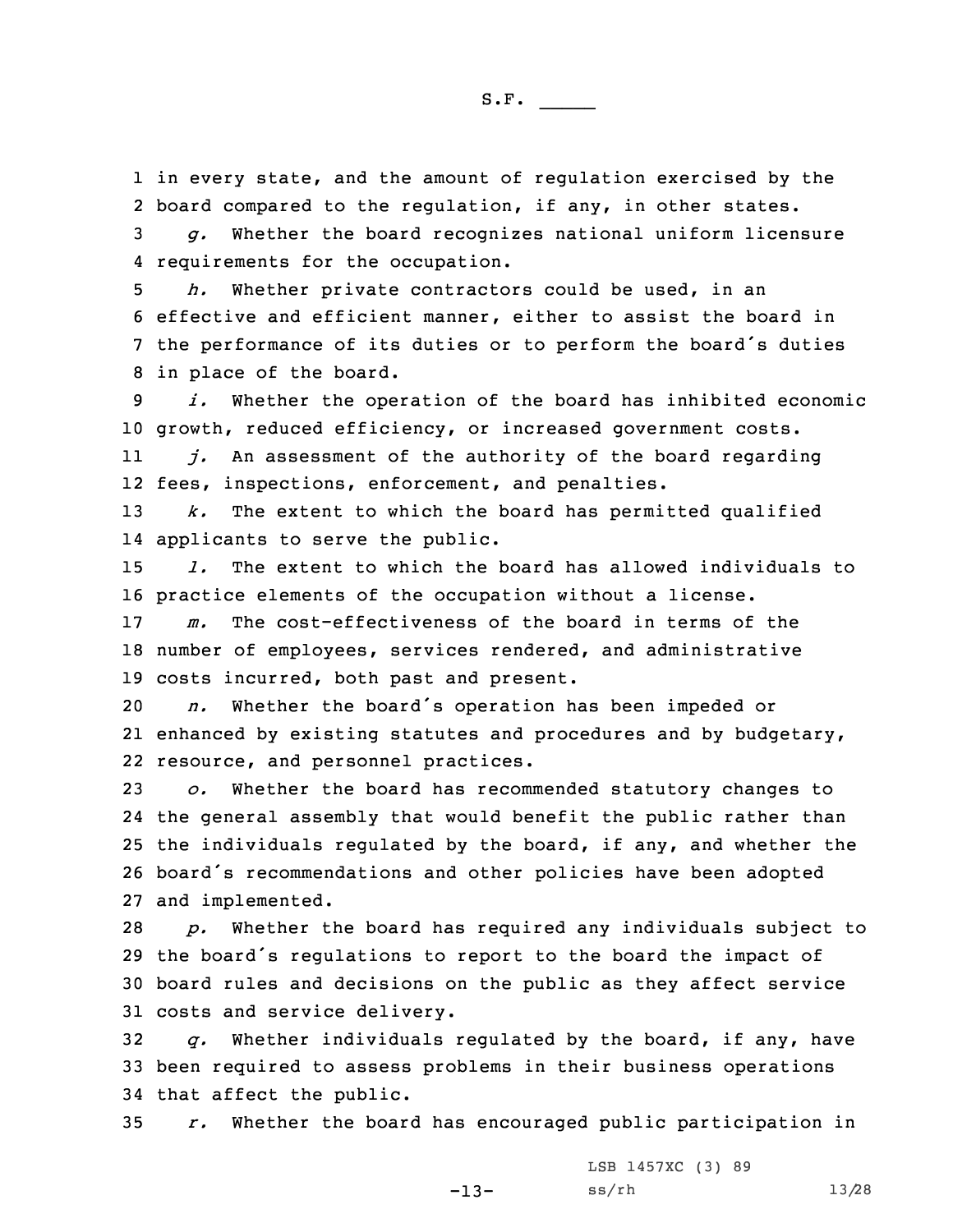1 in every state, and the amount of regulation exercised by the 2 board compared to the regulation, if any, in other states.

3 *g.* Whether the board recognizes national uniform licensure 4 requirements for the occupation.

 *h.* Whether private contractors could be used, in an effective and efficient manner, either to assist the board in the performance of its duties or to perform the board's duties in place of the board.

9 *i.* Whether the operation of the board has inhibited economic 10 growth, reduced efficiency, or increased government costs.

11 *j.* An assessment of the authority of the board regarding 12 fees, inspections, enforcement, and penalties.

13 *k.* The extent to which the board has permitted qualified 14 applicants to serve the public.

15 *l.* The extent to which the board has allowed individuals to 16 practice elements of the occupation without <sup>a</sup> license.

17 *m.* The cost-effectiveness of the board in terms of the 18 number of employees, services rendered, and administrative 19 costs incurred, both past and present.

<sup>20</sup> *n.* Whether the board's operation has been impeded or 21 enhanced by existing statutes and procedures and by budgetary, 22 resource, and personnel practices.

 *o.* Whether the board has recommended statutory changes to the general assembly that would benefit the public rather than the individuals regulated by the board, if any, and whether the board's recommendations and other policies have been adopted and implemented.

 *p.* Whether the board has required any individuals subject to the board's regulations to report to the board the impact of board rules and decisions on the public as they affect service costs and service delivery.

32 *q.* Whether individuals regulated by the board, if any, have 33 been required to assess problems in their business operations 34 that affect the public.

35 *r.* Whether the board has encouraged public participation in

-13-

LSB 1457XC (3) 89 ss/rh 13/28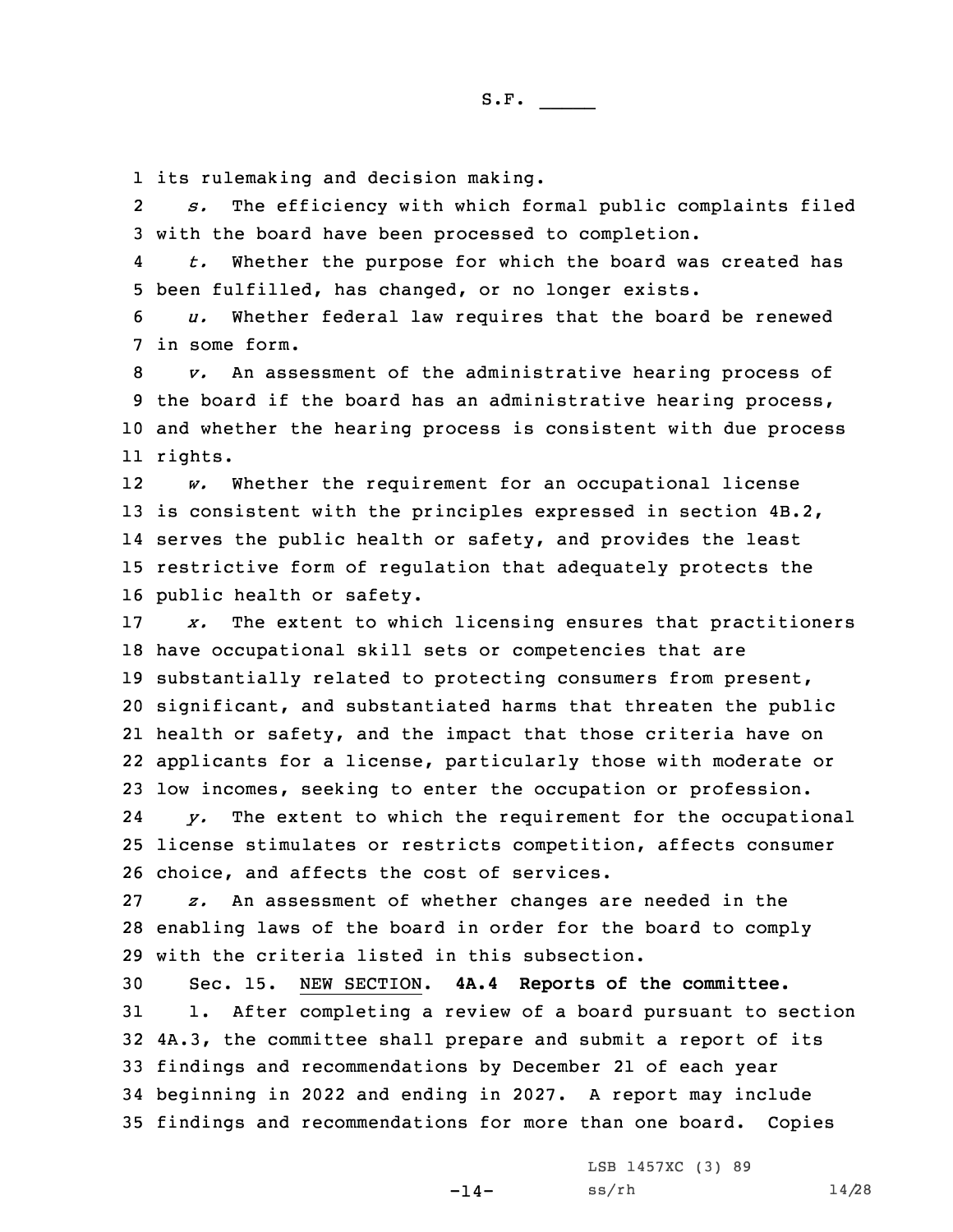1 its rulemaking and decision making.

2 *s.* The efficiency with which formal public complaints filed 3 with the board have been processed to completion.

4 *t.* Whether the purpose for which the board was created has 5 been fulfilled, has changed, or no longer exists.

6 *u.* Whether federal law requires that the board be renewed 7 in some form.

 *v.* An assessment of the administrative hearing process of the board if the board has an administrative hearing process, and whether the hearing process is consistent with due process 11 rights.

12 *w.* Whether the requirement for an occupational license is consistent with the principles expressed in section 4B.2, serves the public health or safety, and provides the least restrictive form of regulation that adequately protects the public health or safety.

 *x.* The extent to which licensing ensures that practitioners have occupational skill sets or competencies that are substantially related to protecting consumers from present, significant, and substantiated harms that threaten the public health or safety, and the impact that those criteria have on applicants for <sup>a</sup> license, particularly those with moderate or low incomes, seeking to enter the occupation or profession.

24 *y.* The extent to which the requirement for the occupational 25 license stimulates or restricts competition, affects consumer 26 choice, and affects the cost of services.

27 *z.* An assessment of whether changes are needed in the 28 enabling laws of the board in order for the board to comply 29 with the criteria listed in this subsection.

 Sec. 15. NEW SECTION. **4A.4 Reports of the committee.** 1. After completing <sup>a</sup> review of <sup>a</sup> board pursuant to section 4A.3, the committee shall prepare and submit <sup>a</sup> report of its findings and recommendations by December 21 of each year beginning in 2022 and ending in 2027. <sup>A</sup> report may include findings and recommendations for more than one board. Copies

-14-

LSB 1457XC (3) 89 ss/rh 14/28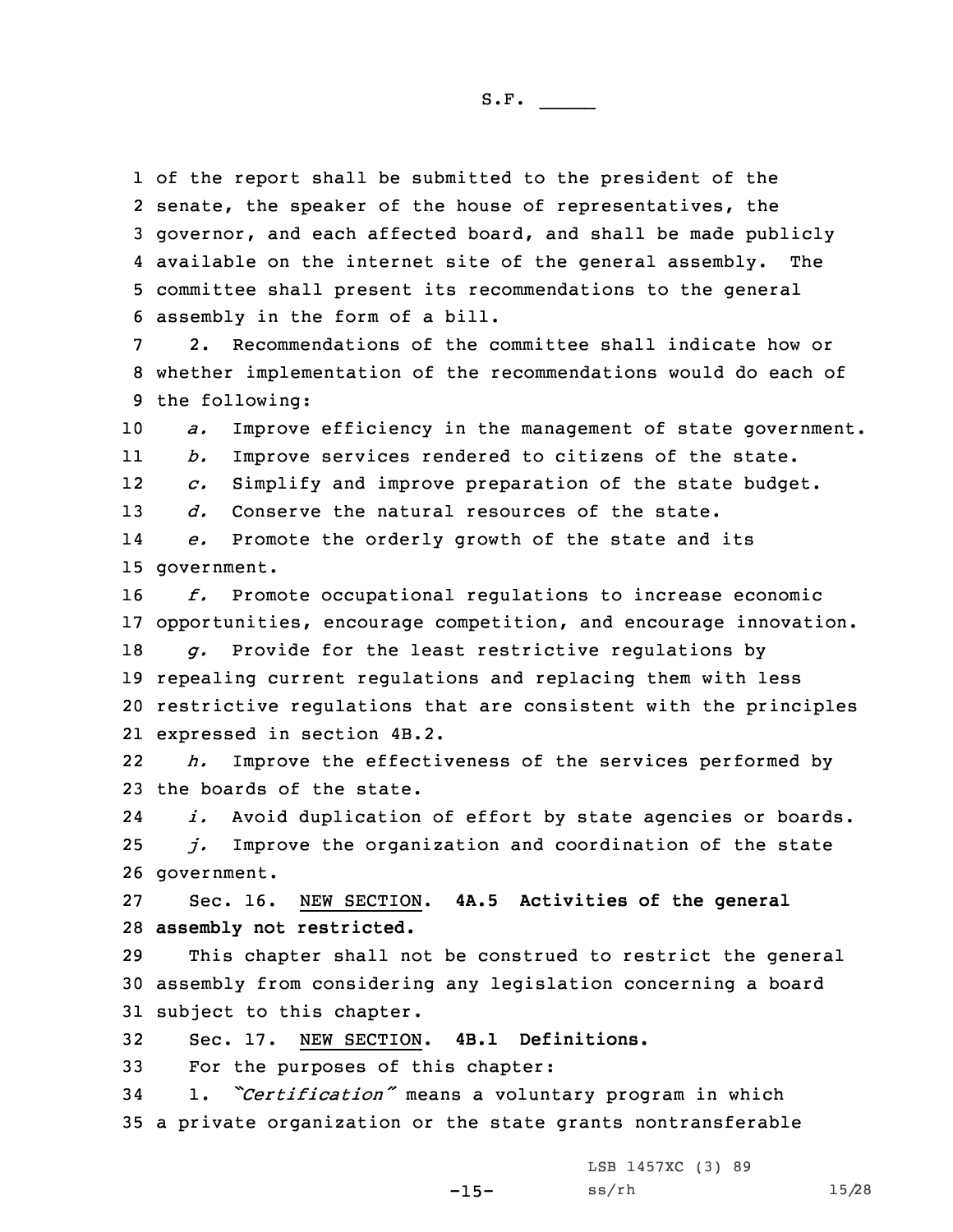of the report shall be submitted to the president of the senate, the speaker of the house of representatives, the governor, and each affected board, and shall be made publicly available on the internet site of the general assembly. The committee shall present its recommendations to the general assembly in the form of <sup>a</sup> bill.

7 2. Recommendations of the committee shall indicate how or 8 whether implementation of the recommendations would do each of 9 the following:

10 *a.* Improve efficiency in the management of state government.

11*b.* Improve services rendered to citizens of the state.

12*c.* Simplify and improve preparation of the state budget.

13 *d.* Conserve the natural resources of the state.

14 *e.* Promote the orderly growth of the state and its 15 government.

16 *f.* Promote occupational regulations to increase economic 17 opportunities, encourage competition, and encourage innovation.

 *g.* Provide for the least restrictive regulations by repealing current regulations and replacing them with less restrictive regulations that are consistent with the principles expressed in section 4B.2.

22 *h.* Improve the effectiveness of the services performed by 23 the boards of the state.

24 *i.* Avoid duplication of effort by state agencies or boards. 25 *j.* Improve the organization and coordination of the state 26 government.

27 Sec. 16. NEW SECTION. **4A.5 Activities of the general** 28 **assembly not restricted.**

29 This chapter shall not be construed to restrict the general 30 assembly from considering any legislation concerning <sup>a</sup> board 31 subject to this chapter.

32 Sec. 17. NEW SECTION. **4B.1 Definitions.**

33 For the purposes of this chapter:

<sup>34</sup> 1. *"Certification"* means <sup>a</sup> voluntary program in which 35 <sup>a</sup> private organization or the state grants nontransferable

LSB 1457XC (3) 89

-15-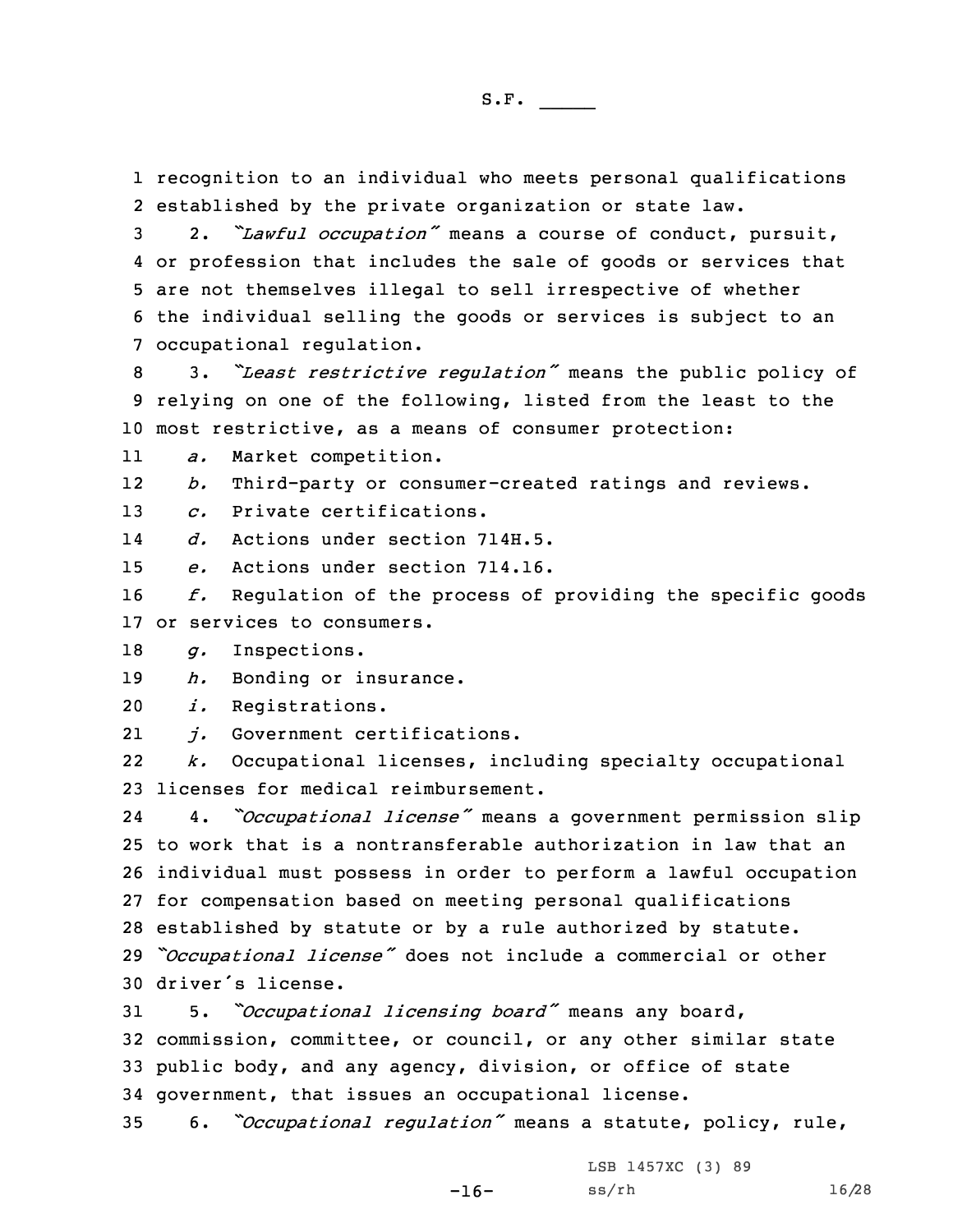1 recognition to an individual who meets personal qualifications 2 established by the private organization or state law.

 2. *"Lawful occupation"* means <sup>a</sup> course of conduct, pursuit, or profession that includes the sale of goods or services that are not themselves illegal to sell irrespective of whether the individual selling the goods or services is subject to an occupational regulation.

<sup>8</sup> 3. *"Least restrictive regulation"* means the public policy of 9 relying on one of the following, listed from the least to the 10 most restrictive, as <sup>a</sup> means of consumer protection:

11*a.* Market competition.

12*b.* Third-party or consumer-created ratings and reviews.

13 *c.* Private certifications.

14*d.* Actions under section 714H.5.

15 *e.* Actions under section 714.16.

16 *f.* Regulation of the process of providing the specific goods 17 or services to consumers.

18 *g.* Inspections.

19 *h.* Bonding or insurance.

20 *i.* Registrations.

21*j.* Government certifications.

22 *k.* Occupational licenses, including specialty occupational 23 licenses for medical reimbursement.

24 4. *"Occupational license"* means <sup>a</sup> government permission slip to work that is <sup>a</sup> nontransferable authorization in law that an individual must possess in order to perform <sup>a</sup> lawful occupation for compensation based on meeting personal qualifications established by statute or by <sup>a</sup> rule authorized by statute. *"Occupational license"* does not include <sup>a</sup> commercial or other driver's license.

 5. *"Occupational licensing board"* means any board, commission, committee, or council, or any other similar state public body, and any agency, division, or office of state government, that issues an occupational license.

<sup>35</sup> 6. *"Occupational regulation"* means <sup>a</sup> statute, policy, rule,

-16-

LSB 1457XC (3) 89 ss/rh 16/28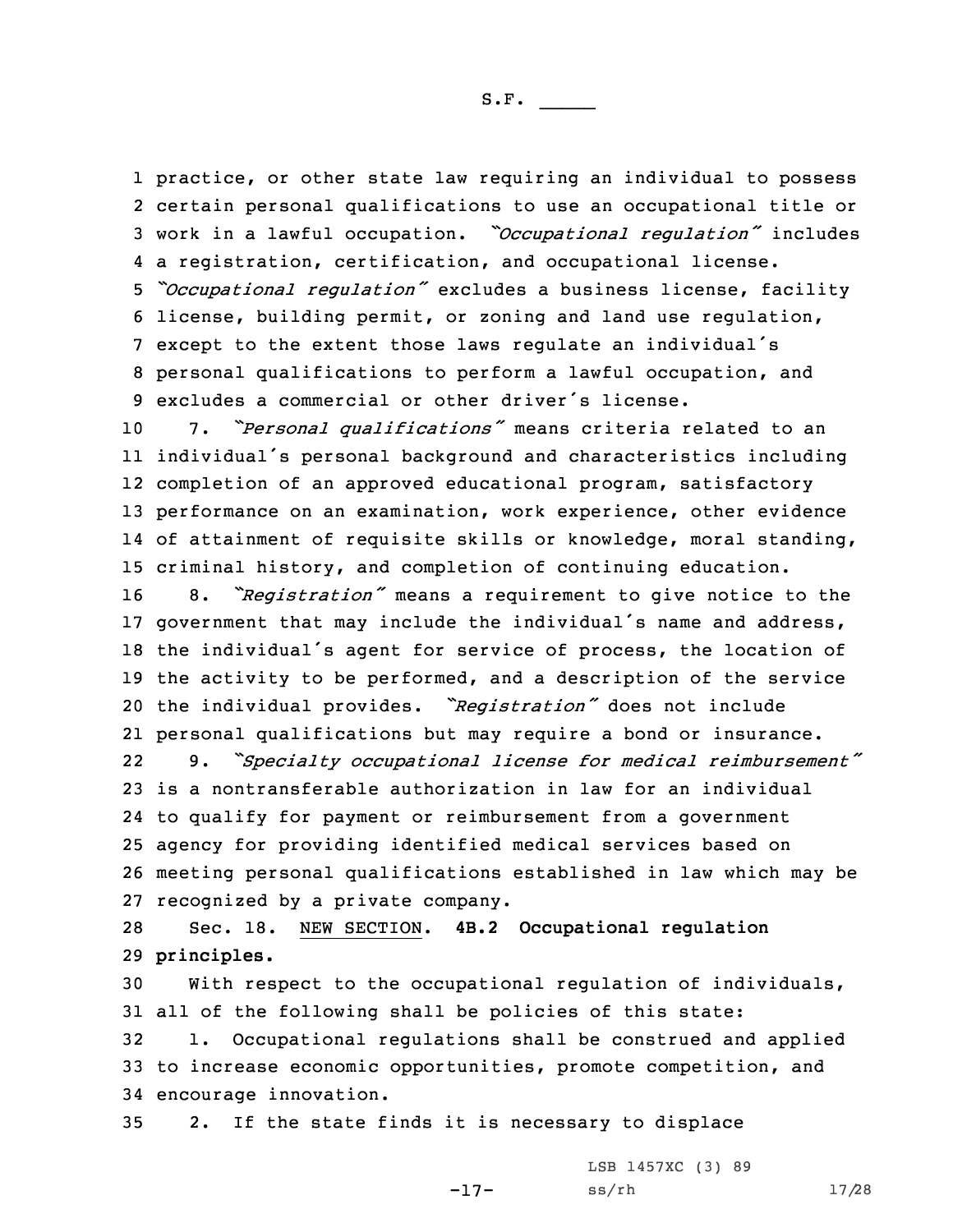practice, or other state law requiring an individual to possess certain personal qualifications to use an occupational title or work in <sup>a</sup> lawful occupation. *"Occupational regulation"* includes <sup>a</sup> registration, certification, and occupational license. *"Occupational regulation"* excludes <sup>a</sup> business license, facility license, building permit, or zoning and land use regulation, except to the extent those laws regulate an individual's personal qualifications to perform <sup>a</sup> lawful occupation, and excludes <sup>a</sup> commercial or other driver's license.

 7. *"Personal qualifications"* means criteria related to an individual's personal background and characteristics including completion of an approved educational program, satisfactory performance on an examination, work experience, other evidence of attainment of requisite skills or knowledge, moral standing, criminal history, and completion of continuing education.

 8. *"Registration"* means <sup>a</sup> requirement to give notice to the government that may include the individual's name and address, the individual's agent for service of process, the location of the activity to be performed, and <sup>a</sup> description of the service the individual provides. *"Registration"* does not include personal qualifications but may require <sup>a</sup> bond or insurance.

22 9. *"Specialty occupational license for medical reimbursement"* is <sup>a</sup> nontransferable authorization in law for an individual to qualify for payment or reimbursement from <sup>a</sup> government agency for providing identified medical services based on meeting personal qualifications established in law which may be recognized by <sup>a</sup> private company.

28 Sec. 18. NEW SECTION. **4B.2 Occupational regulation** 29 **principles.**

 With respect to the occupational regulation of individuals, all of the following shall be policies of this state: 1. Occupational regulations shall be construed and applied to increase economic opportunities, promote competition, and encourage innovation.

-17-

35 2. If the state finds it is necessary to displace

LSB 1457XC (3) 89 ss/rh 17/28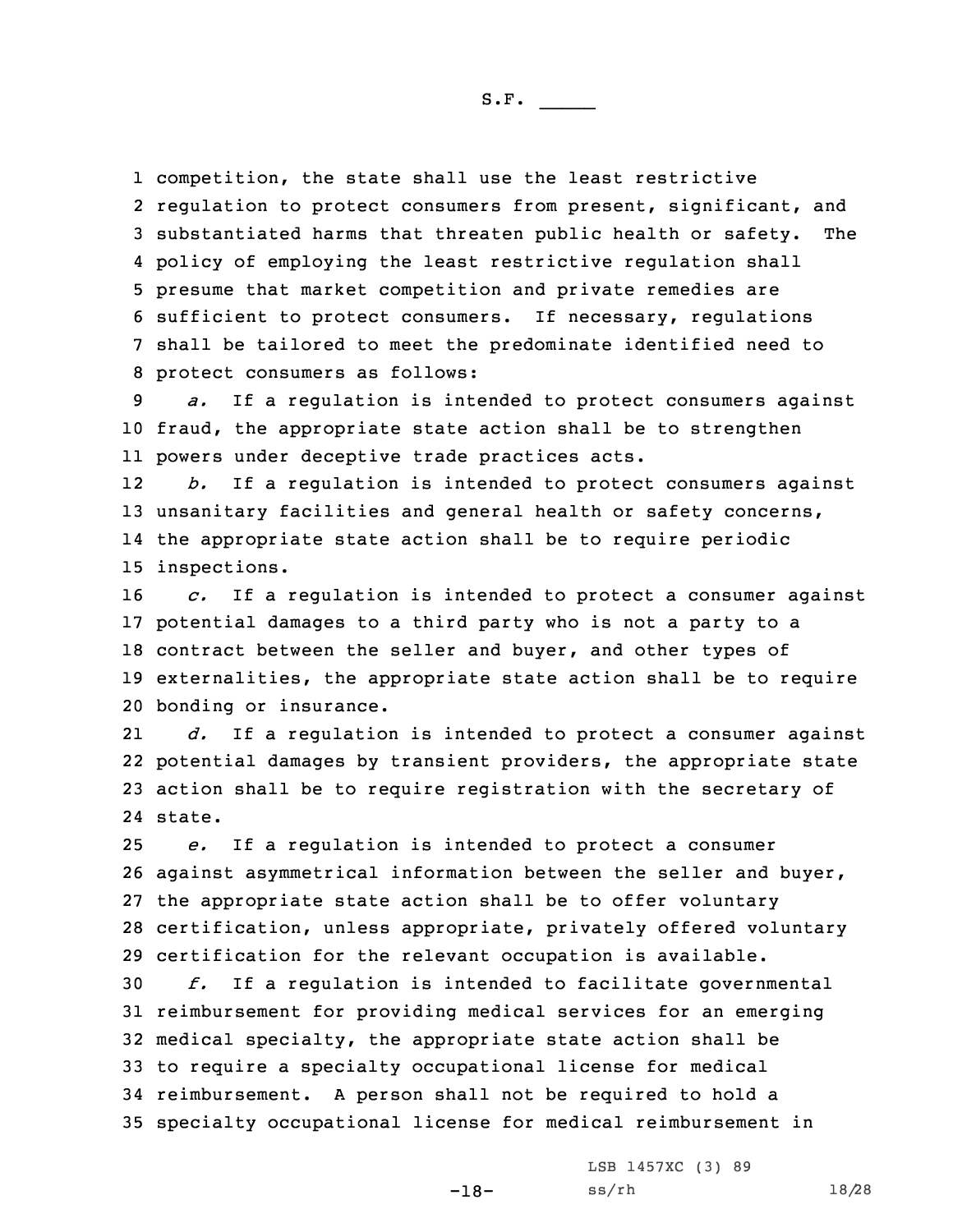competition, the state shall use the least restrictive regulation to protect consumers from present, significant, and substantiated harms that threaten public health or safety. The policy of employing the least restrictive regulation shall presume that market competition and private remedies are sufficient to protect consumers. If necessary, regulations shall be tailored to meet the predominate identified need to protect consumers as follows:

9 *a.* If <sup>a</sup> regulation is intended to protect consumers against 10 fraud, the appropriate state action shall be to strengthen 11 powers under deceptive trade practices acts.

12 *b.* If <sup>a</sup> regulation is intended to protect consumers against 13 unsanitary facilities and general health or safety concerns, 14 the appropriate state action shall be to require periodic 15 inspections.

 *c.* If <sup>a</sup> regulation is intended to protect <sup>a</sup> consumer against potential damages to <sup>a</sup> third party who is not <sup>a</sup> party to <sup>a</sup> contract between the seller and buyer, and other types of externalities, the appropriate state action shall be to require bonding or insurance.

21 *d.* If <sup>a</sup> regulation is intended to protect <sup>a</sup> consumer against 22 potential damages by transient providers, the appropriate state 23 action shall be to require registration with the secretary of 24 state.

 *e.* If <sup>a</sup> regulation is intended to protect <sup>a</sup> consumer against asymmetrical information between the seller and buyer, the appropriate state action shall be to offer voluntary certification, unless appropriate, privately offered voluntary certification for the relevant occupation is available.

 *f.* If <sup>a</sup> regulation is intended to facilitate governmental reimbursement for providing medical services for an emerging medical specialty, the appropriate state action shall be to require <sup>a</sup> specialty occupational license for medical reimbursement. <sup>A</sup> person shall not be required to hold <sup>a</sup> specialty occupational license for medical reimbursement in

-18-

LSB 1457XC (3) 89 ss/rh 18/28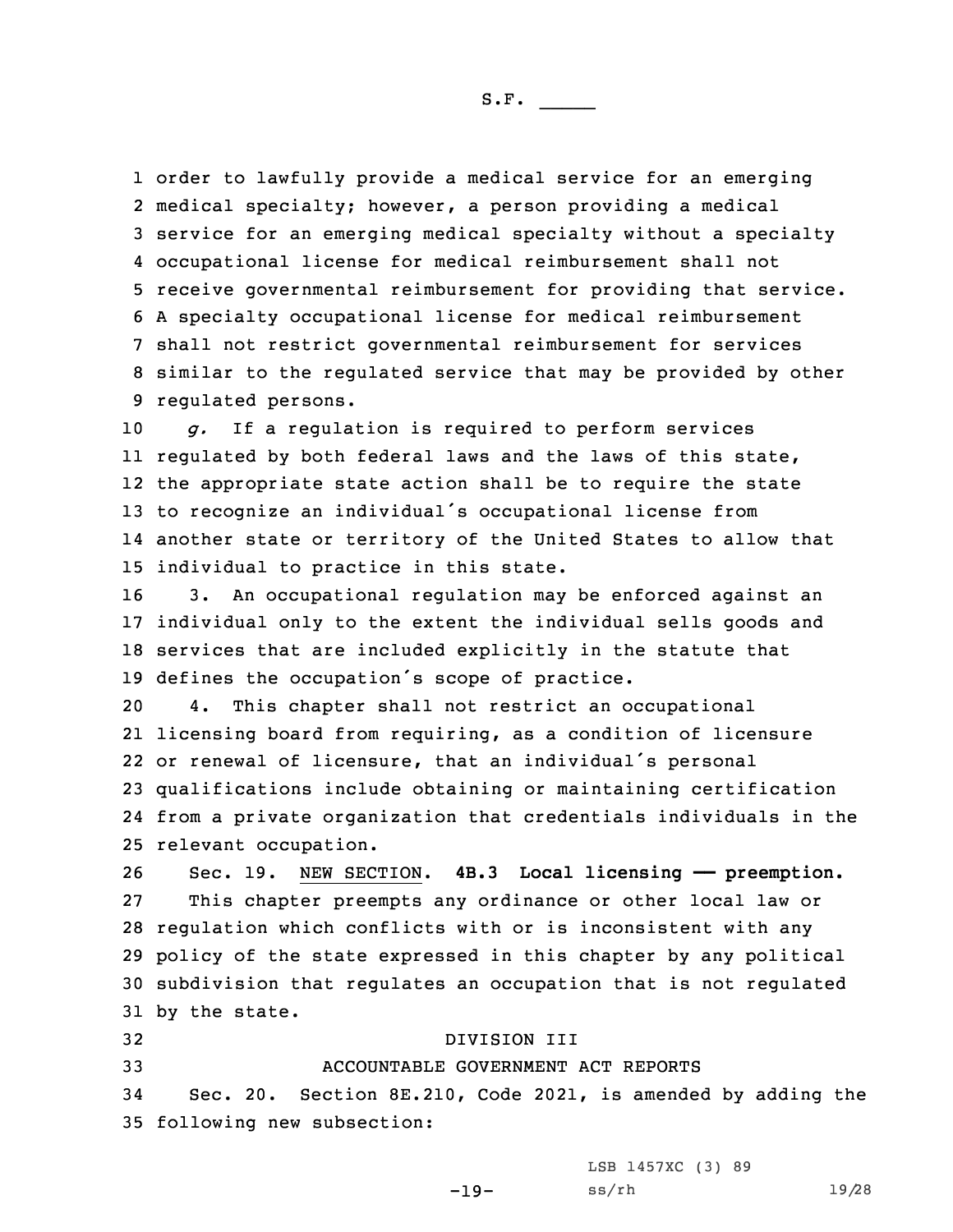order to lawfully provide <sup>a</sup> medical service for an emerging medical specialty; however, <sup>a</sup> person providing <sup>a</sup> medical service for an emerging medical specialty without <sup>a</sup> specialty occupational license for medical reimbursement shall not receive governmental reimbursement for providing that service. <sup>A</sup> specialty occupational license for medical reimbursement shall not restrict governmental reimbursement for services similar to the regulated service that may be provided by other regulated persons.

 *g.* If <sup>a</sup> regulation is required to perform services regulated by both federal laws and the laws of this state, the appropriate state action shall be to require the state to recognize an individual's occupational license from another state or territory of the United States to allow that individual to practice in this state.

 3. An occupational regulation may be enforced against an individual only to the extent the individual sells goods and services that are included explicitly in the statute that defines the occupation's scope of practice.

 4. This chapter shall not restrict an occupational licensing board from requiring, as <sup>a</sup> condition of licensure or renewal of licensure, that an individual's personal qualifications include obtaining or maintaining certification from <sup>a</sup> private organization that credentials individuals in the relevant occupation.

 Sec. 19. NEW SECTION. **4B.3 Local licensing —— preemption.** This chapter preempts any ordinance or other local law or regulation which conflicts with or is inconsistent with any policy of the state expressed in this chapter by any political subdivision that regulates an occupation that is not regulated by the state.

 DIVISION III ACCOUNTABLE GOVERNMENT ACT REPORTS Sec. 20. Section 8E.210, Code 2021, is amended by adding the following new subsection:

LSB 1457XC (3) 89

-19-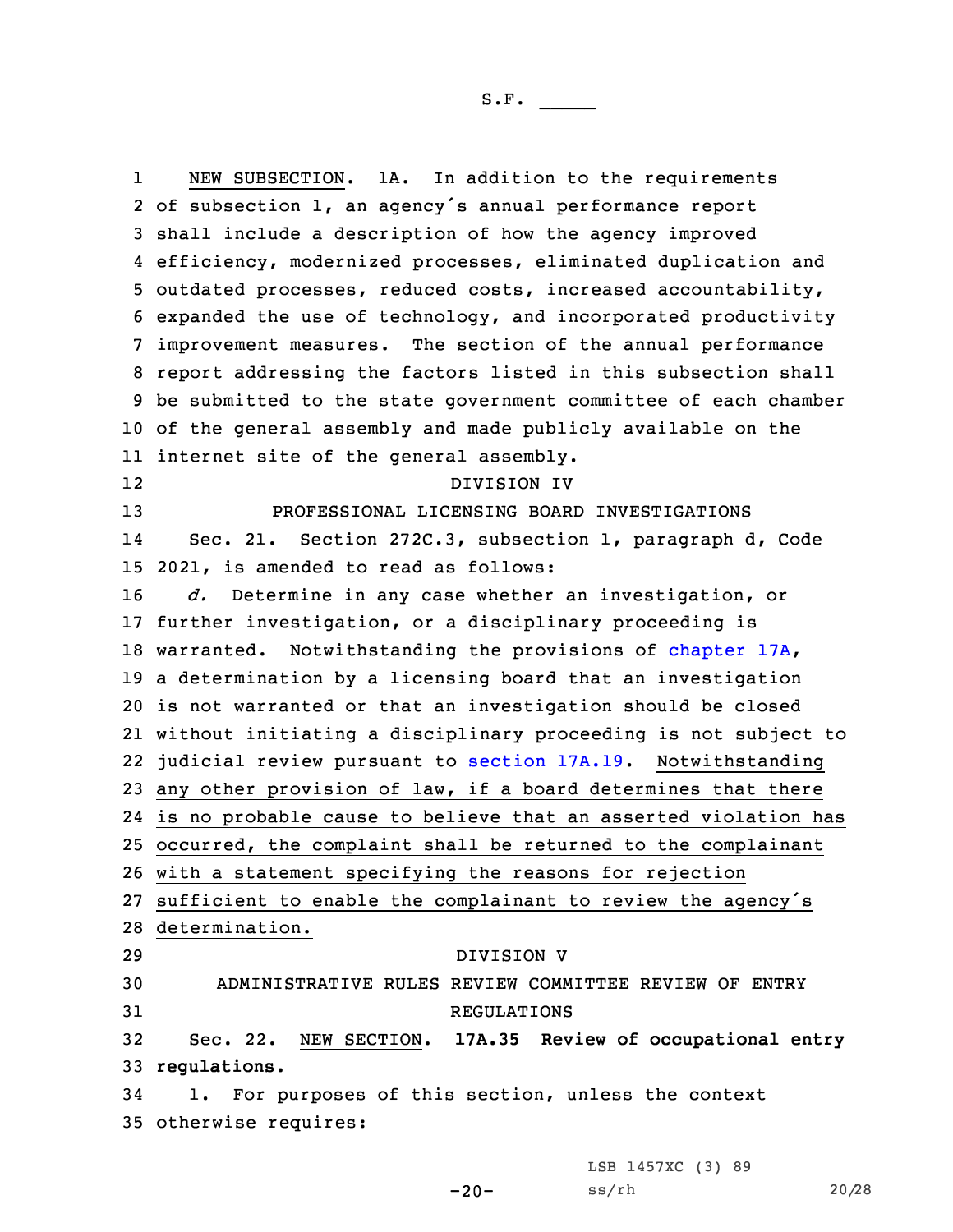1 NEW SUBSECTION. 1A. In addition to the requirements of subsection 1, an agency's annual performance report shall include <sup>a</sup> description of how the agency improved efficiency, modernized processes, eliminated duplication and outdated processes, reduced costs, increased accountability, expanded the use of technology, and incorporated productivity improvement measures. The section of the annual performance report addressing the factors listed in this subsection shall be submitted to the state government committee of each chamber of the general assembly and made publicly available on the internet site of the general assembly. 12 DIVISION IV PROFESSIONAL LICENSING BOARD INVESTIGATIONS 14 Sec. 21. Section 272C.3, subsection 1, paragraph d, Code 2021, is amended to read as follows: *d.* Determine in any case whether an investigation, or further investigation, or <sup>a</sup> disciplinary proceeding is warranted. Notwithstanding the provisions of [chapter](https://www.legis.iowa.gov/docs/code/2021/17A.pdf) 17A, <sup>a</sup> determination by <sup>a</sup> licensing board that an investigation is not warranted or that an investigation should be closed without initiating <sup>a</sup> disciplinary proceeding is not subject to judicial review pursuant to [section](https://www.legis.iowa.gov/docs/code/2021/17A.19.pdf) 17A.19. Notwithstanding any other provision of law, if <sup>a</sup> board determines that there is no probable cause to believe that an asserted violation has occurred, the complaint shall be returned to the complainant with <sup>a</sup> statement specifying the reasons for rejection sufficient to enable the complainant to review the agency's determination. DIVISION V ADMINISTRATIVE RULES REVIEW COMMITTEE REVIEW OF ENTRY 31 REGULATIONS Sec. 22. NEW SECTION. **17A.35 Review of occupational entry regulations.** 1. For purposes of this section, unless the context otherwise requires:

LSB 1457XC (3) 89

```
-20-
```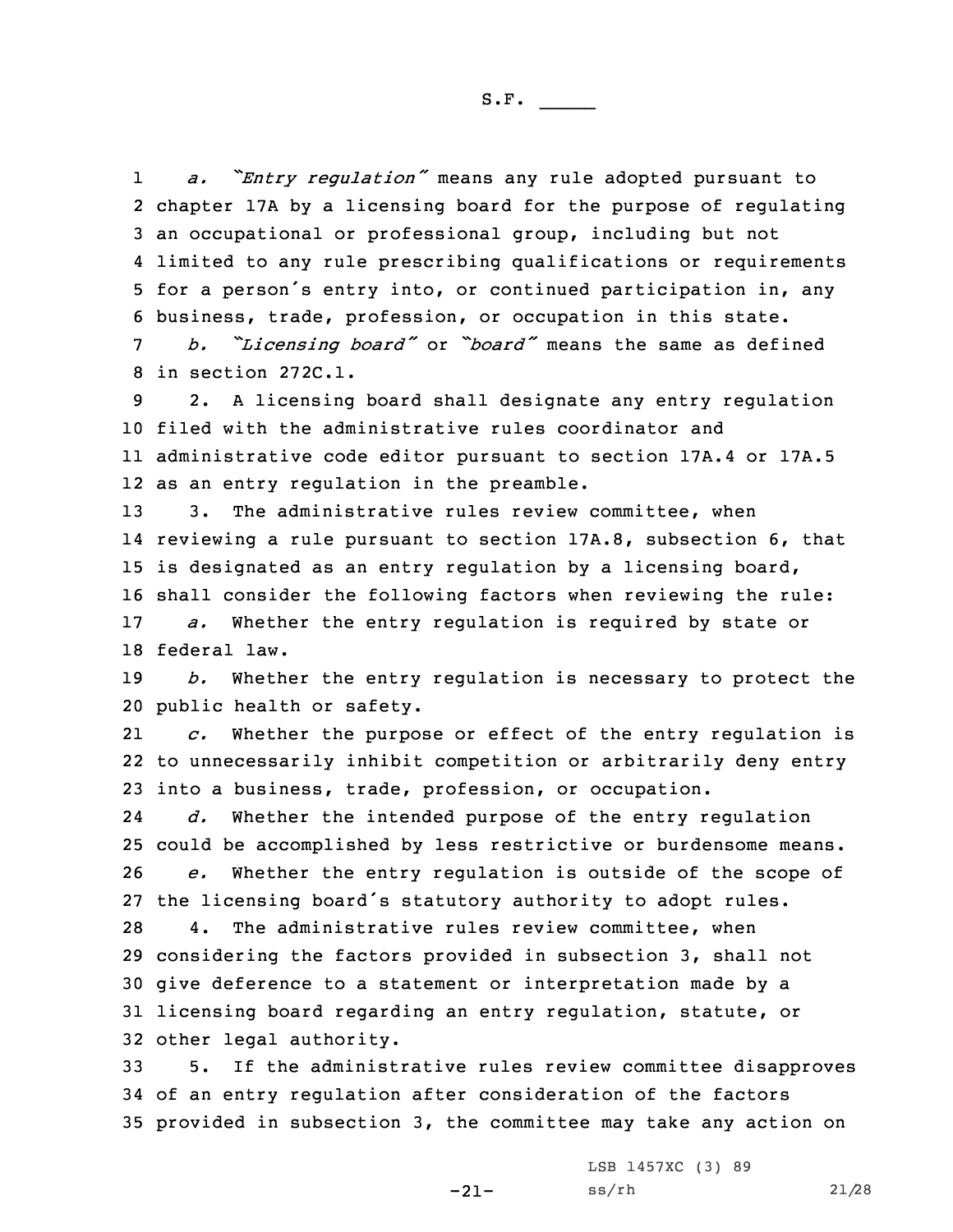1 *a. "Entry regulation"* means any rule adopted pursuant to chapter 17A by <sup>a</sup> licensing board for the purpose of regulating an occupational or professional group, including but not limited to any rule prescribing qualifications or requirements for <sup>a</sup> person's entry into, or continued participation in, any business, trade, profession, or occupation in this state.

<sup>7</sup> *b. "Licensing board"* or *"board"* means the same as defined 8 in section 272C.1.

 2. <sup>A</sup> licensing board shall designate any entry regulation filed with the administrative rules coordinator and administrative code editor pursuant to section 17A.4 or 17A.5 as an entry regulation in the preamble.

 3. The administrative rules review committee, when reviewing <sup>a</sup> rule pursuant to section 17A.8, subsection 6, that is designated as an entry regulation by <sup>a</sup> licensing board, shall consider the following factors when reviewing the rule:

17 *a.* Whether the entry regulation is required by state or 18 federal law.

19 *b.* Whether the entry regulation is necessary to protect the 20 public health or safety.

21 *c.* Whether the purpose or effect of the entry regulation is 22 to unnecessarily inhibit competition or arbitrarily deny entry 23 into <sup>a</sup> business, trade, profession, or occupation.

24 *d.* Whether the intended purpose of the entry regulation 25 could be accomplished by less restrictive or burdensome means. 26 *e.* Whether the entry regulation is outside of the scope of 27 the licensing board's statutory authority to adopt rules.

 4. The administrative rules review committee, when considering the factors provided in subsection 3, shall not give deference to <sup>a</sup> statement or interpretation made by <sup>a</sup> licensing board regarding an entry regulation, statute, or other legal authority.

33 5. If the administrative rules review committee disapproves 34 of an entry regulation after consideration of the factors 35 provided in subsection 3, the committee may take any action on

-21-

LSB 1457XC (3) 89 ss/rh 21/28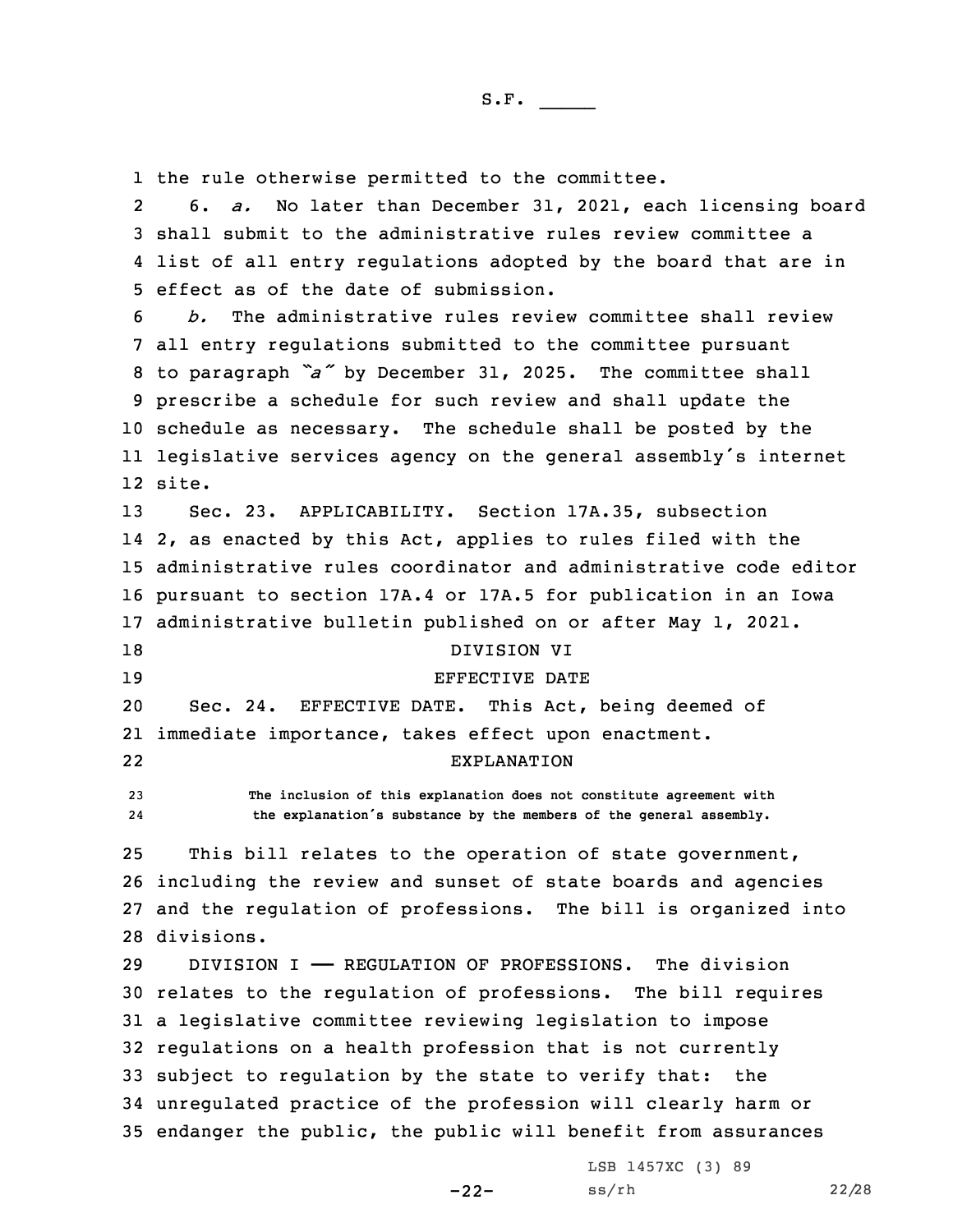1 the rule otherwise permitted to the committee.

2 6. *a.* No later than December 31, 2021, each licensing board 3 shall submit to the administrative rules review committee <sup>a</sup> 4 list of all entry regulations adopted by the board that are in 5 effect as of the date of submission.

 *b.* The administrative rules review committee shall review all entry regulations submitted to the committee pursuant to paragraph *"a"* by December 31, 2025. The committee shall prescribe <sup>a</sup> schedule for such review and shall update the schedule as necessary. The schedule shall be posted by the legislative services agency on the general assembly's internet 12 site.

 Sec. 23. APPLICABILITY. Section 17A.35, subsection 2, as enacted by this Act, applies to rules filed with the administrative rules coordinator and administrative code editor pursuant to section 17A.4 or 17A.5 for publication in an Iowa administrative bulletin published on or after May 1, 2021.

- 18 DIVISION VI
- 

22

## 19 BEFECTIVE DATE

20 Sec. 24. EFFECTIVE DATE. This Act, being deemed of 21 immediate importance, takes effect upon enactment.

## EXPLANATION

23 **The inclusion of this explanation does not constitute agreement with** 24**the explanation's substance by the members of the general assembly.**

 This bill relates to the operation of state government, including the review and sunset of state boards and agencies and the regulation of professions. The bill is organized into divisions.

 DIVISION I —— REGULATION OF PROFESSIONS. The division relates to the regulation of professions. The bill requires <sup>a</sup> legislative committee reviewing legislation to impose regulations on <sup>a</sup> health profession that is not currently subject to regulation by the state to verify that: the unregulated practice of the profession will clearly harm or endanger the public, the public will benefit from assurances

-22-

LSB 1457XC (3) 89 ss/rh 22/28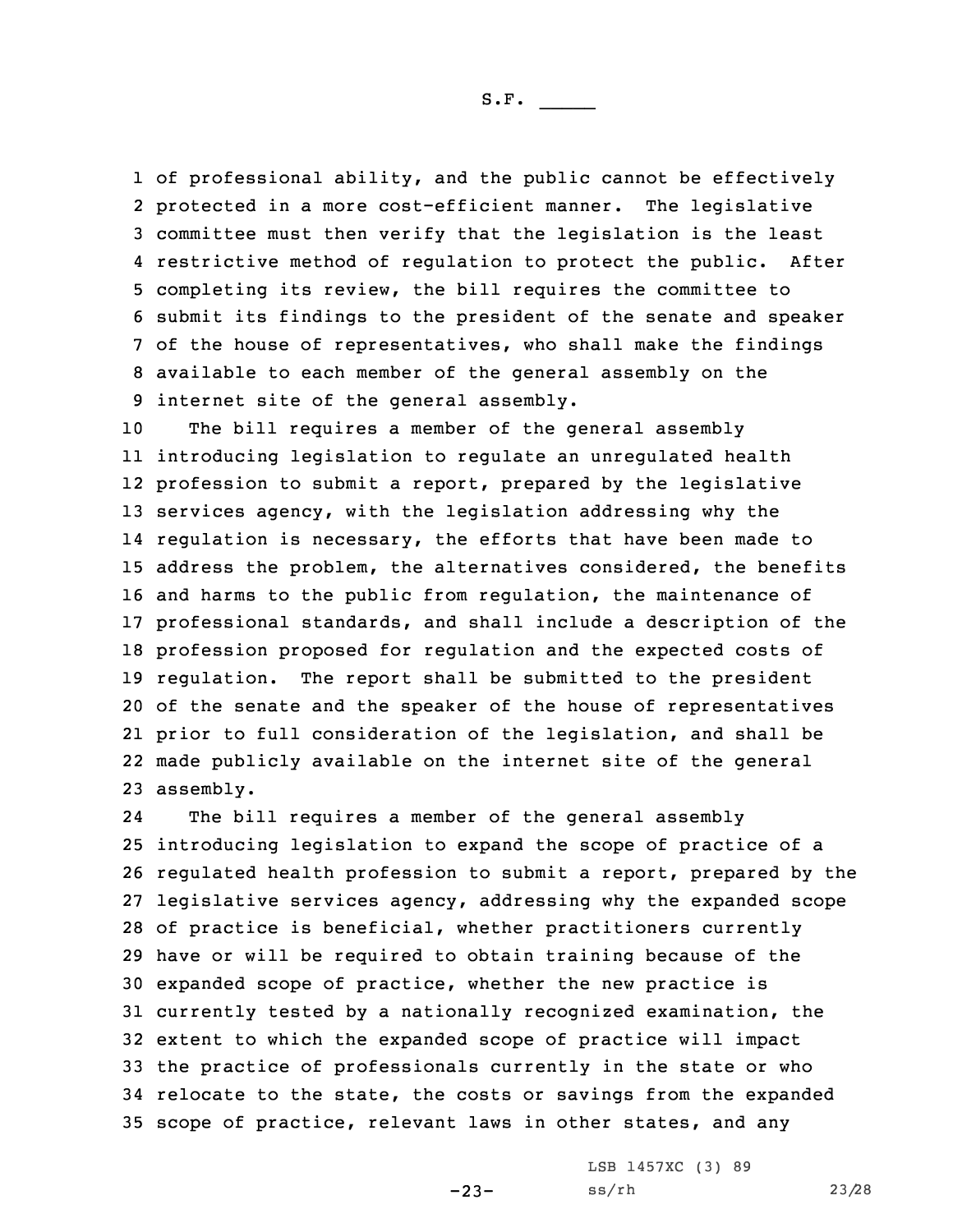of professional ability, and the public cannot be effectively protected in <sup>a</sup> more cost-efficient manner. The legislative committee must then verify that the legislation is the least restrictive method of regulation to protect the public. After completing its review, the bill requires the committee to submit its findings to the president of the senate and speaker of the house of representatives, who shall make the findings available to each member of the general assembly on the internet site of the general assembly.

 The bill requires <sup>a</sup> member of the general assembly introducing legislation to regulate an unregulated health profession to submit <sup>a</sup> report, prepared by the legislative services agency, with the legislation addressing why the regulation is necessary, the efforts that have been made to address the problem, the alternatives considered, the benefits and harms to the public from regulation, the maintenance of professional standards, and shall include <sup>a</sup> description of the profession proposed for regulation and the expected costs of regulation. The report shall be submitted to the president of the senate and the speaker of the house of representatives prior to full consideration of the legislation, and shall be made publicly available on the internet site of the general assembly.

24The bill requires a member of the general assembly introducing legislation to expand the scope of practice of <sup>a</sup> regulated health profession to submit <sup>a</sup> report, prepared by the legislative services agency, addressing why the expanded scope of practice is beneficial, whether practitioners currently have or will be required to obtain training because of the expanded scope of practice, whether the new practice is currently tested by <sup>a</sup> nationally recognized examination, the extent to which the expanded scope of practice will impact the practice of professionals currently in the state or who relocate to the state, the costs or savings from the expanded scope of practice, relevant laws in other states, and any

 $-23-$ 

LSB 1457XC (3) 89 ss/rh 23/28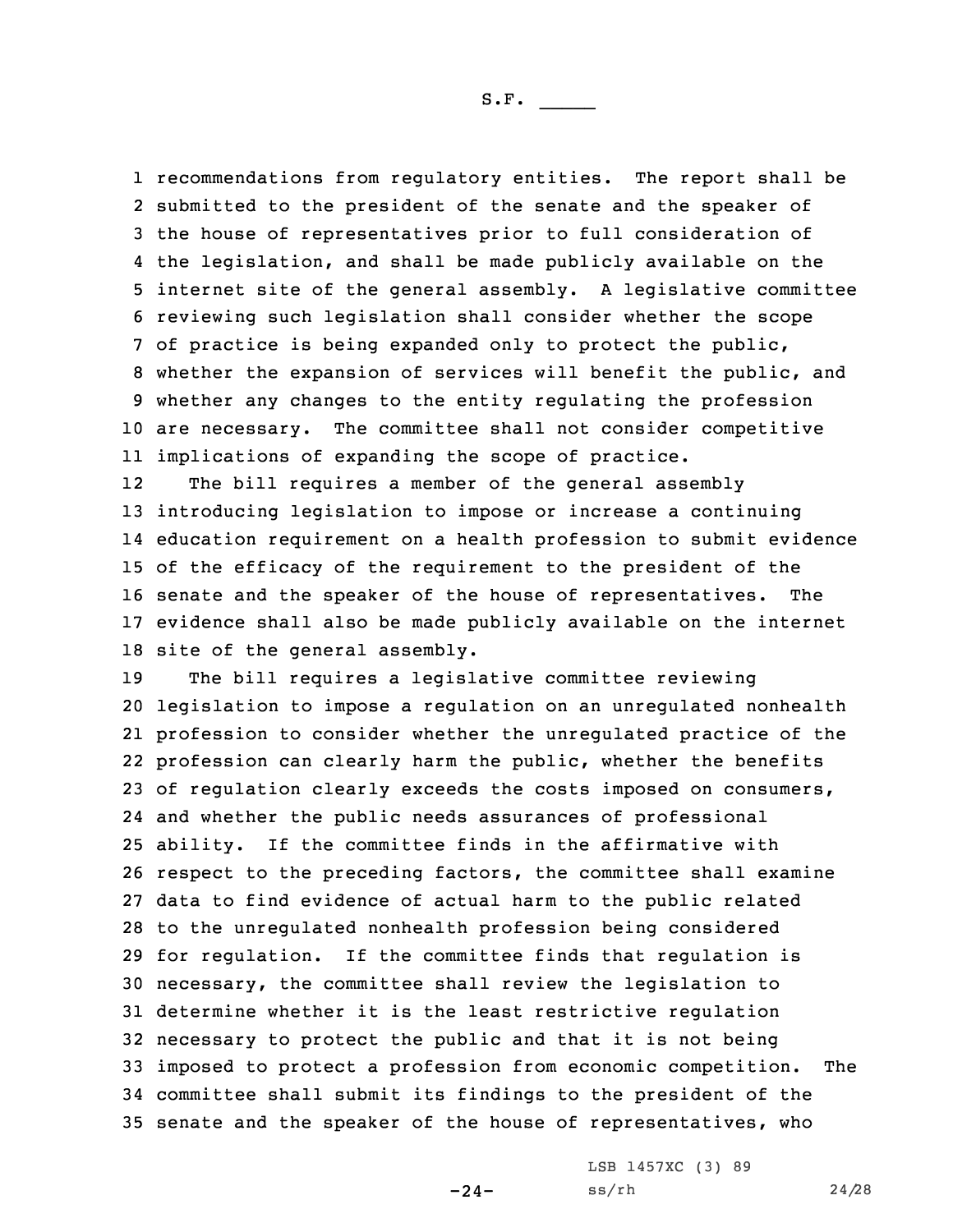recommendations from regulatory entities. The report shall be submitted to the president of the senate and the speaker of the house of representatives prior to full consideration of the legislation, and shall be made publicly available on the internet site of the general assembly. <sup>A</sup> legislative committee reviewing such legislation shall consider whether the scope of practice is being expanded only to protect the public, whether the expansion of services will benefit the public, and whether any changes to the entity regulating the profession are necessary. The committee shall not consider competitive implications of expanding the scope of practice.

12The bill requires a member of the general assembly introducing legislation to impose or increase <sup>a</sup> continuing education requirement on <sup>a</sup> health profession to submit evidence of the efficacy of the requirement to the president of the senate and the speaker of the house of representatives. The evidence shall also be made publicly available on the internet site of the general assembly.

 The bill requires <sup>a</sup> legislative committee reviewing legislation to impose <sup>a</sup> regulation on an unregulated nonhealth profession to consider whether the unregulated practice of the profession can clearly harm the public, whether the benefits of regulation clearly exceeds the costs imposed on consumers, and whether the public needs assurances of professional ability. If the committee finds in the affirmative with respect to the preceding factors, the committee shall examine data to find evidence of actual harm to the public related to the unregulated nonhealth profession being considered for regulation. If the committee finds that regulation is necessary, the committee shall review the legislation to determine whether it is the least restrictive regulation necessary to protect the public and that it is not being imposed to protect <sup>a</sup> profession from economic competition. The committee shall submit its findings to the president of the senate and the speaker of the house of representatives, who

-24-

LSB 1457XC (3) 89 ss/rh 24/28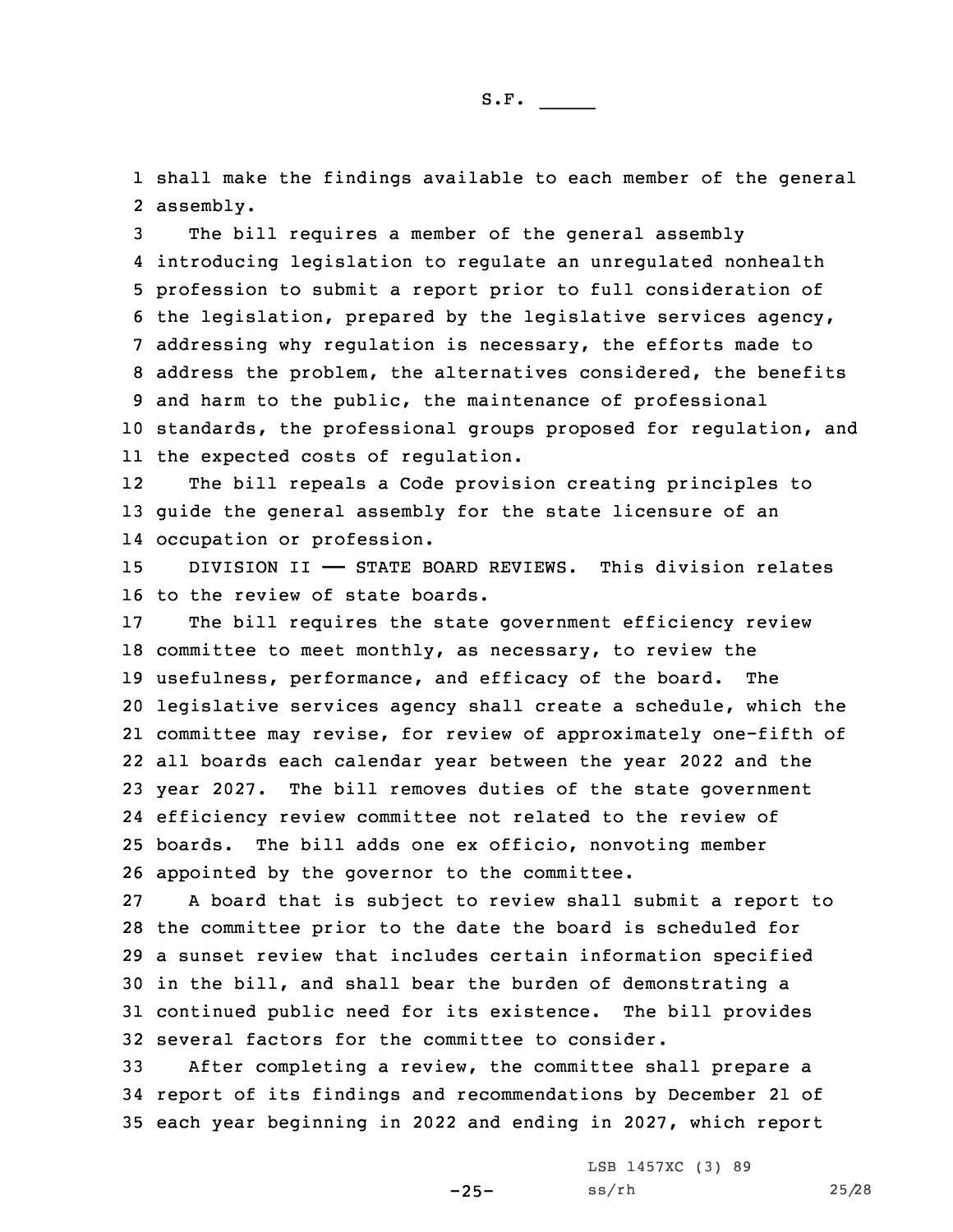1 shall make the findings available to each member of the general 2 assembly.

 The bill requires <sup>a</sup> member of the general assembly introducing legislation to regulate an unregulated nonhealth profession to submit <sup>a</sup> report prior to full consideration of the legislation, prepared by the legislative services agency, addressing why regulation is necessary, the efforts made to address the problem, the alternatives considered, the benefits and harm to the public, the maintenance of professional standards, the professional groups proposed for regulation, and the expected costs of regulation.

12 The bill repeals <sup>a</sup> Code provision creating principles to 13 guide the general assembly for the state licensure of an 14 occupation or profession.

15 DIVISION II - STATE BOARD REVIEWS. This division relates 16 to the review of state boards.

 The bill requires the state government efficiency review committee to meet monthly, as necessary, to review the usefulness, performance, and efficacy of the board. The legislative services agency shall create <sup>a</sup> schedule, which the committee may revise, for review of approximately one-fifth of all boards each calendar year between the year 2022 and the year 2027. The bill removes duties of the state government efficiency review committee not related to the review of boards. The bill adds one ex officio, nonvoting member appointed by the governor to the committee.

 <sup>A</sup> board that is subject to review shall submit <sup>a</sup> report to the committee prior to the date the board is scheduled for <sup>a</sup> sunset review that includes certain information specified in the bill, and shall bear the burden of demonstrating <sup>a</sup> continued public need for its existence. The bill provides several factors for the committee to consider.

33 After completing <sup>a</sup> review, the committee shall prepare <sup>a</sup> 34 report of its findings and recommendations by December 21 of 35 each year beginning in 2022 and ending in 2027, which report

-25-

LSB 1457XC (3) 89 ss/rh 25/28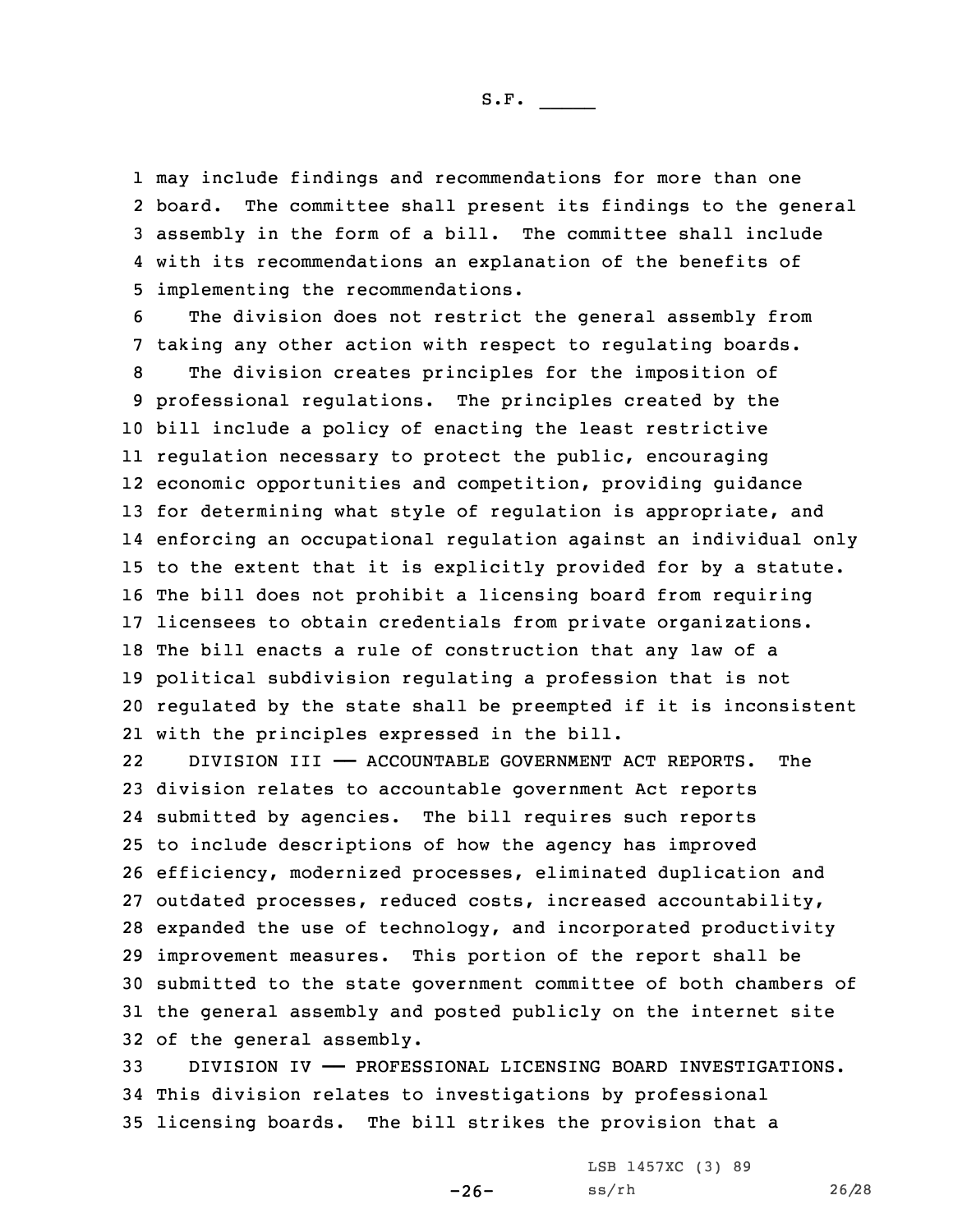may include findings and recommendations for more than one 2 board. The committee shall present its findings to the general assembly in the form of <sup>a</sup> bill. The committee shall include with its recommendations an explanation of the benefits of implementing the recommendations.

6 The division does not restrict the general assembly from 7 taking any other action with respect to regulating boards.

 The division creates principles for the imposition of professional regulations. The principles created by the bill include <sup>a</sup> policy of enacting the least restrictive regulation necessary to protect the public, encouraging economic opportunities and competition, providing guidance for determining what style of regulation is appropriate, and enforcing an occupational regulation against an individual only to the extent that it is explicitly provided for by <sup>a</sup> statute. The bill does not prohibit <sup>a</sup> licensing board from requiring licensees to obtain credentials from private organizations. The bill enacts <sup>a</sup> rule of construction that any law of <sup>a</sup> political subdivision regulating <sup>a</sup> profession that is not regulated by the state shall be preempted if it is inconsistent with the principles expressed in the bill.

22 DIVISION III —— ACCOUNTABLE GOVERNMENT ACT REPORTS. The division relates to accountable government Act reports submitted by agencies. The bill requires such reports to include descriptions of how the agency has improved efficiency, modernized processes, eliminated duplication and outdated processes, reduced costs, increased accountability, expanded the use of technology, and incorporated productivity improvement measures. This portion of the report shall be submitted to the state government committee of both chambers of the general assembly and posted publicly on the internet site of the general assembly.

33 DIVISION IV —— PROFESSIONAL LICENSING BOARD INVESTIGATIONS. 34 This division relates to investigations by professional 35 licensing boards. The bill strikes the provision that <sup>a</sup>

-26-

LSB 1457XC (3) 89 ss/rh 26/28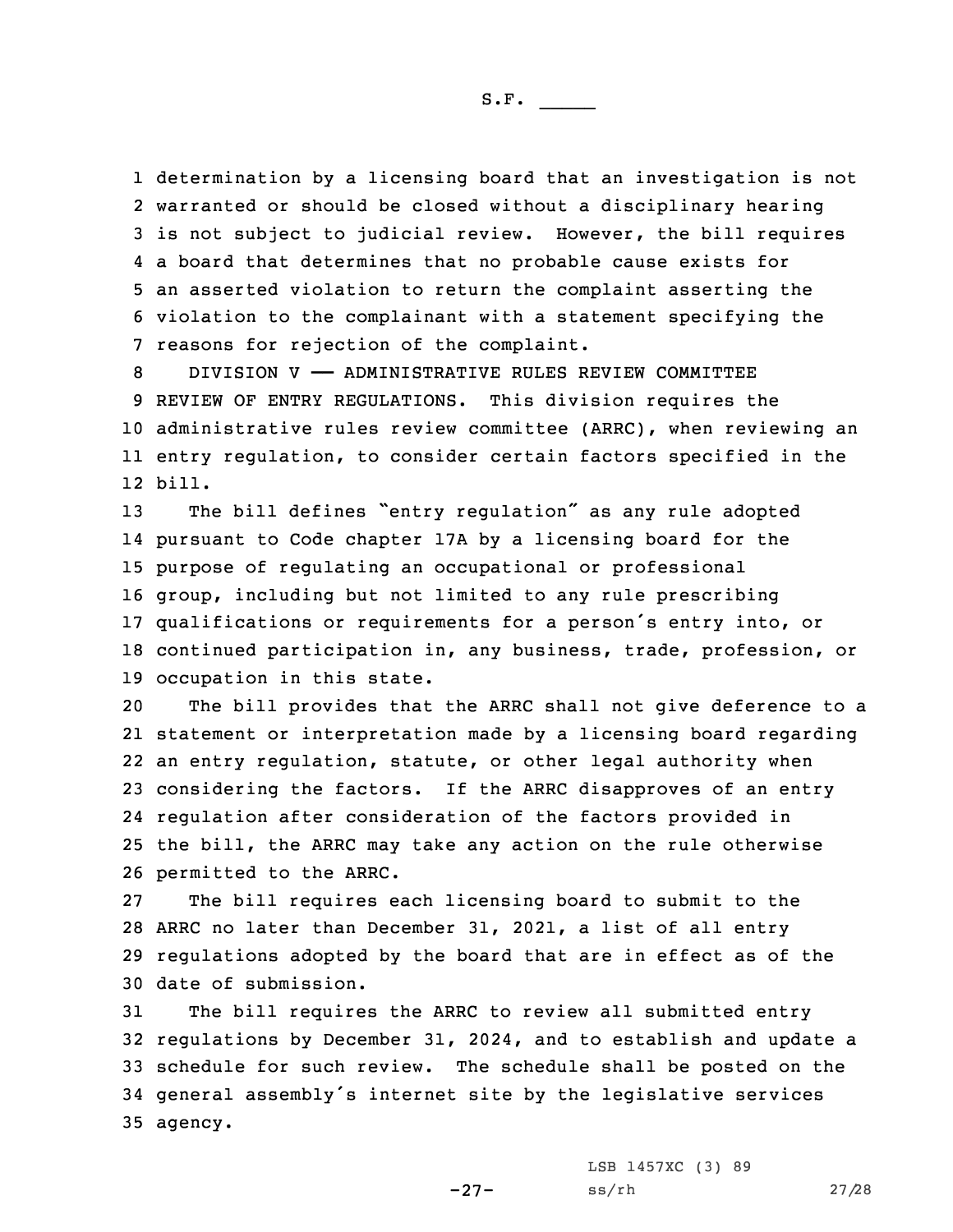determination by <sup>a</sup> licensing board that an investigation is not warranted or should be closed without <sup>a</sup> disciplinary hearing is not subject to judicial review. However, the bill requires <sup>a</sup> board that determines that no probable cause exists for an asserted violation to return the complaint asserting the violation to the complainant with <sup>a</sup> statement specifying the reasons for rejection of the complaint.

 DIVISION V —— ADMINISTRATIVE RULES REVIEW COMMITTEE REVIEW OF ENTRY REGULATIONS. This division requires the administrative rules review committee (ARRC), when reviewing an entry regulation, to consider certain factors specified in the 12 bill.

 The bill defines "entry regulation" as any rule adopted pursuant to Code chapter 17A by <sup>a</sup> licensing board for the purpose of regulating an occupational or professional group, including but not limited to any rule prescribing qualifications or requirements for <sup>a</sup> person's entry into, or continued participation in, any business, trade, profession, or occupation in this state.

 The bill provides that the ARRC shall not give deference to <sup>a</sup> statement or interpretation made by <sup>a</sup> licensing board regarding an entry regulation, statute, or other legal authority when considering the factors. If the ARRC disapproves of an entry regulation after consideration of the factors provided in the bill, the ARRC may take any action on the rule otherwise permitted to the ARRC.

 The bill requires each licensing board to submit to the ARRC no later than December 31, 2021, <sup>a</sup> list of all entry regulations adopted by the board that are in effect as of the date of submission.

 The bill requires the ARRC to review all submitted entry regulations by December 31, 2024, and to establish and update <sup>a</sup> schedule for such review. The schedule shall be posted on the general assembly's internet site by the legislative services 35 agency.

-27-

LSB 1457XC (3) 89 ss/rh 27/28